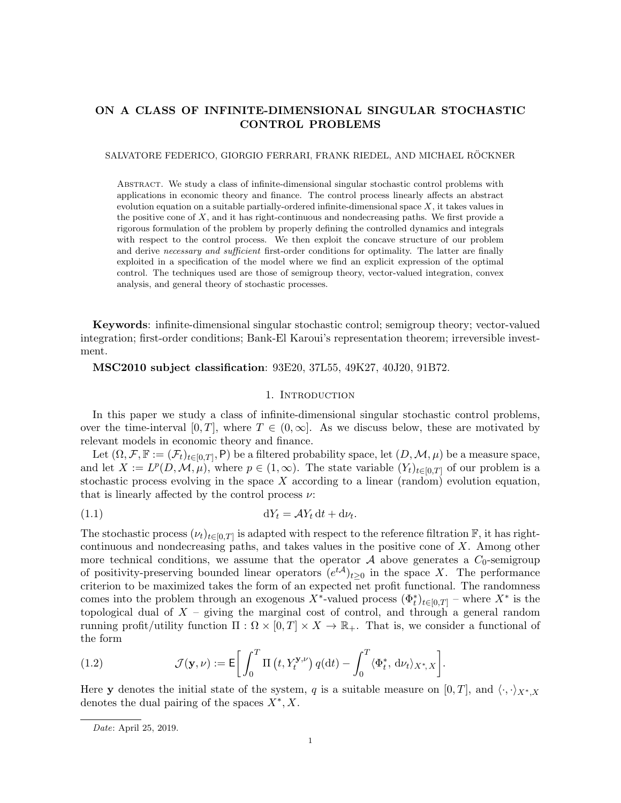# <span id="page-0-2"></span>ON A CLASS OF INFINITE-DIMENSIONAL SINGULAR STOCHASTIC CONTROL PROBLEMS

#### SALVATORE FEDERICO, GIORGIO FERRARI, FRANK RIEDEL, AND MICHAEL RÖCKNER

Abstract. We study a class of infinite-dimensional singular stochastic control problems with applications in economic theory and finance. The control process linearly affects an abstract evolution equation on a suitable partially-ordered infinite-dimensional space  $X$ , it takes values in the positive cone of  $X$ , and it has right-continuous and nondecreasing paths. We first provide a rigorous formulation of the problem by properly defining the controlled dynamics and integrals with respect to the control process. We then exploit the concave structure of our problem and derive necessary and sufficient first-order conditions for optimality. The latter are finally exploited in a specification of the model where we find an explicit expression of the optimal control. The techniques used are those of semigroup theory, vector-valued integration, convex analysis, and general theory of stochastic processes.

Keywords: infinite-dimensional singular stochastic control; semigroup theory; vector-valued integration; first-order conditions; Bank-El Karoui's representation theorem; irreversible investment.

## MSC2010 subject classification: 93E20, 37L55, 49K27, 40J20, 91B72.

## <span id="page-0-0"></span>1. INTRODUCTION

In this paper we study a class of infinite-dimensional singular stochastic control problems, over the time-interval [0, T], where  $T \in (0,\infty]$ . As we discuss below, these are motivated by relevant models in economic theory and finance.

Let  $(\Omega, \mathcal{F}, \mathbb{F}) := (\mathcal{F}_t)_{t \in [0,T]}, P)$  be a filtered probability space, let  $(D, \mathcal{M}, \mu)$  be a measure space, and let  $X := L^p(D, \mathcal{M}, \mu)$ , where  $p \in (1, \infty)$ . The state variable  $(Y_t)_{t \in [0,T]}$  of our problem is a stochastic process evolving in the space  $X$  according to a linear (random) evolution equation, that is linearly affected by the control process  $\nu$ :

$$
dY_t = \mathcal{A}Y_t dt + d\nu_t.
$$

The stochastic process  $(\nu_t)_{t\in[0,T]}$  is adapted with respect to the reference filtration  $\mathbb{F}$ , it has rightcontinuous and nondecreasing paths, and takes values in the positive cone of X. Among other more technical conditions, we assume that the operator  $A$  above generates a  $C_0$ -semigroup of positivity-preserving bounded linear operators  $(e^{tA})_{t\geq 0}$  in the space X. The performance criterion to be maximized takes the form of an expected net profit functional. The randomness comes into the problem through an exogenous X<sup>\*</sup>-valued process  $(\Phi_t^*)_{t\in[0,T]}$  – where  $X^*$  is the topological dual of  $X$  – giving the marginal cost of control, and through a general random running profit/utility function  $\Pi : \Omega \times [0,T] \times X \to \mathbb{R}_+$ . That is, we consider a functional of the form

<span id="page-0-1"></span>(1.2) 
$$
\mathcal{J}(\mathbf{y}, \nu) := \mathsf{E}\bigg[\int_0^T \Pi\left(t, Y_t^{\mathbf{y}, \nu}\right) q(\mathrm{d}t) - \int_0^T \langle \Phi_t^*, \, \mathrm{d}\nu_t \rangle_{X^*, X}\bigg].
$$

Here y denotes the initial state of the system, q is a suitable measure on [0, T], and  $\langle \cdot, \cdot \rangle_{X^*,X}$ denotes the dual pairing of the spaces  $X^*, X$ .

Date: April 25, 2019.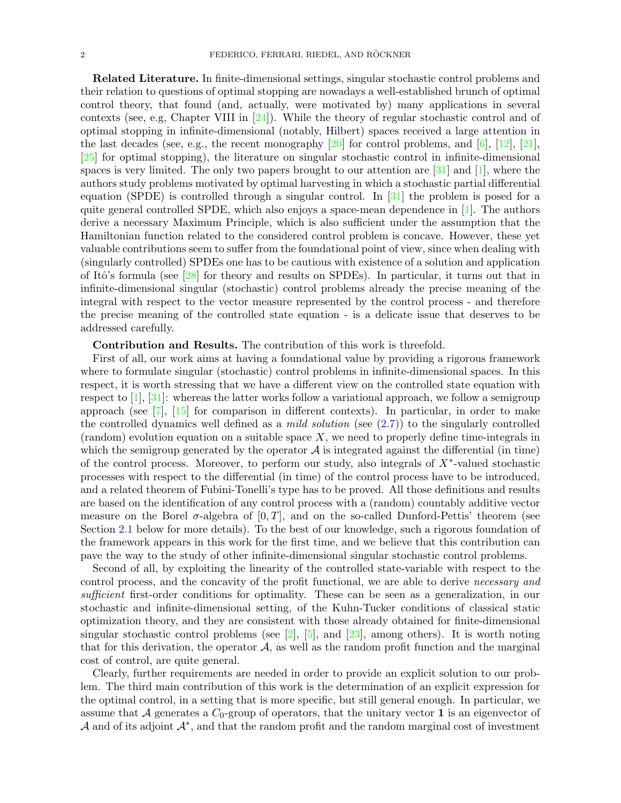Related Literature. In finite-dimensional settings, singular stochastic control problems and their relation to questions of optimal stopping are nowadays a well-established brunch of optimal control theory, that found (and, actually, were motivated by) many applications in several contexts (see, e.g, Chapter VIII in  $[24]$ ). While the theory of regular stochastic control and of optimal stopping in infinite-dimensional (notably, Hilbert) spaces received a large attention in the last decades (see, e.g., the recent monography  $[20]$  for control problems, and  $[6]$ ,  $[12]$ ,  $[21]$ , [\[25\]](#page-20-4) for optimal stopping), the literature on singular stochastic control in infinite-dimensional spaces is very limited. The only two papers brought to our attention are  $[31]$  and  $[1]$ , where the authors study problems motivated by optimal harvesting in which a stochastic partial differential equation (SPDE) is controlled through a singular control. In [\[31\]](#page-20-5) the problem is posed for a quite general controlled SPDE, which also enjoys a space-mean dependence in [\[1\]](#page-19-1). The authors derive a necessary Maximum Principle, which is also sufficient under the assumption that the Hamiltonian function related to the considered control problem is concave. However, these yet valuable contributions seem to suffer from the foundational point of view, since when dealing with (singularly controlled) SPDEs one has to be cautious with existence of a solution and application of Itô's formula (see [\[28\]](#page-20-6) for theory and results on SPDEs). In particular, it turns out that in infinite-dimensional singular (stochastic) control problems already the precise meaning of the integral with respect to the vector measure represented by the control process - and therefore the precise meaning of the controlled state equation - is a delicate issue that deserves to be addressed carefully.

Contribution and Results. The contribution of this work is threefold.

First of all, our work aims at having a foundational value by providing a rigorous framework where to formulate singular (stochastic) control problems in infinite-dimensional spaces. In this respect, it is worth stressing that we have a different view on the controlled state equation with respect to  $[1], [31]$  $[1], [31]$  $[1], [31]$ : whereas the latter works follow a variational approach, we follow a semigroup approach (see  $\begin{bmatrix} 7 \end{bmatrix}$ ,  $\begin{bmatrix} 15 \end{bmatrix}$  for comparison in different contexts). In particular, in order to make the controlled dynamics well defined as a *mild solution* (see  $(2.7)$ ) to the singularly controlled  $(random)$  evolution equation on a suitable space X, we need to properly define time-integrals in which the semigroup generated by the operator  $A$  is integrated against the differential (in time) of the control process. Moreover, to perform our study, also integrals of  $X^*$ -valued stochastic processes with respect to the differential (in time) of the control process have to be introduced, and a related theorem of Fubini-Tonelli's type has to be proved. All those definitions and results are based on the identification of any control process with a (random) countably additive vector measure on the Borel  $\sigma$ -algebra of [0, T], and on the so-called Dunford-Pettis' theorem (see Section [2.1](#page-3-0) below for more details). To the best of our knowledge, such a rigorous foundation of the framework appears in this work for the first time, and we believe that this contribution can pave the way to the study of other infinite-dimensional singular stochastic control problems.

Second of all, by exploiting the linearity of the controlled state-variable with respect to the control process, and the concavity of the profit functional, we are able to derive necessary and sufficient first-order conditions for optimality. These can be seen as a generalization, in our stochastic and infinite-dimensional setting, of the Kuhn-Tucker conditions of classical static optimization theory, and they are consistent with those already obtained for finite-dimensional singular stochastic control problems (see [\[2\]](#page-19-3), [\[5\]](#page-19-4), and [\[23\]](#page-20-8), among others). It is worth noting that for this derivation, the operator  $A$ , as well as the random profit function and the marginal cost of control, are quite general.

Clearly, further requirements are needed in order to provide an explicit solution to our problem. The third main contribution of this work is the determination of an explicit expression for the optimal control, in a setting that is more specific, but still general enough. In particular, we assume that A generates a  $C_0$ -group of operators, that the unitary vector 1 is an eigenvector of A and of its adjoint  $\mathcal{A}^*$ , and that the random profit and the random marginal cost of investment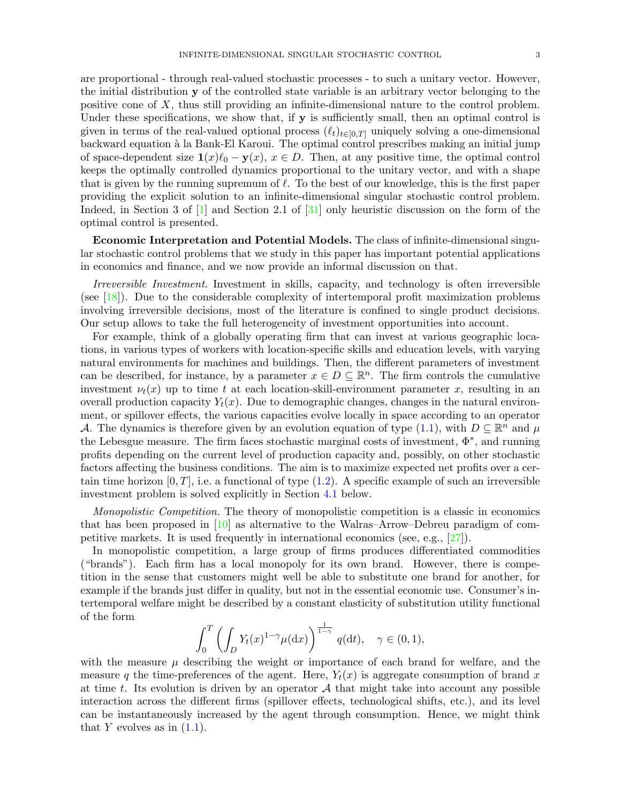are proportional - through real-valued stochastic processes - to such a unitary vector. However, the initial distribution y of the controlled state variable is an arbitrary vector belonging to the positive cone of X, thus still providing an infinite-dimensional nature to the control problem. Under these specifications, we show that, if  $y$  is sufficiently small, then an optimal control is given in terms of the real-valued optional process  $(\ell_t)_{t\in[0,T]}$  uniquely solving a one-dimensional backward equation à la Bank-El Karoui. The optimal control prescribes making an initial jump of space-dependent size  $\mathbf{1}(x)\ell_0 - \mathbf{y}(x), x \in D$ . Then, at any positive time, the optimal control keeps the optimally controlled dynamics proportional to the unitary vector, and with a shape that is given by the running supremum of  $\ell$ . To the best of our knowledge, this is the first paper providing the explicit solution to an infinite-dimensional singular stochastic control problem. Indeed, in Section 3 of [\[1\]](#page-19-1) and Section 2.1 of [\[31\]](#page-20-5) only heuristic discussion on the form of the optimal control is presented.

Economic Interpretation and Potential Models. The class of infinite-dimensional singular stochastic control problems that we study in this paper has important potential applications in economics and finance, and we now provide an informal discussion on that.

Irreversible Investment. Investment in skills, capacity, and technology is often irreversible (see [\[18\]](#page-20-9)). Due to the considerable complexity of intertemporal profit maximization problems involving irreversible decisions, most of the literature is confined to single product decisions. Our setup allows to take the full heterogeneity of investment opportunities into account.

For example, think of a globally operating firm that can invest at various geographic locations, in various types of workers with location-specific skills and education levels, with varying natural environments for machines and buildings. Then, the different parameters of investment can be described, for instance, by a parameter  $x \in D \subseteq \mathbb{R}^n$ . The firm controls the cumulative investment  $\nu_t(x)$  up to time t at each location-skill-environment parameter x, resulting in an overall production capacity  $Y_t(x)$ . Due to demographic changes, changes in the natural environment, or spillover effects, the various capacities evolve locally in space according to an operator A. The dynamics is therefore given by an evolution equation of type [\(1.1\)](#page-0-0), with  $D \subseteq \mathbb{R}^n$  and  $\mu$ the Lebesgue measure. The firm faces stochastic marginal costs of investment,  $\Phi^*$ , and running profits depending on the current level of production capacity and, possibly, on other stochastic factors affecting the business conditions. The aim is to maximize expected net profits over a certain time horizon  $[0, T]$ , i.e. a functional of type  $(1.2)$ . A specific example of such an irreversible investment problem is solved explicitly in Section [4.1](#page-12-0) below.

Monopolistic Competition. The theory of monopolistic competition is a classic in economics that has been proposed in [\[10\]](#page-19-5) as alternative to the Walras–Arrow–Debreu paradigm of competitive markets. It is used frequently in international economics (see, e.g., [\[27\]](#page-20-10)).

In monopolistic competition, a large group of firms produces differentiated commodities ("brands"). Each firm has a local monopoly for its own brand. However, there is competition in the sense that customers might well be able to substitute one brand for another, for example if the brands just differ in quality, but not in the essential economic use. Consumer's intertemporal welfare might be described by a constant elasticity of substitution utility functional of the form

$$
\int_0^T \left( \int_D Y_t(x)^{1-\gamma} \mu(\mathrm{d}x) \right)^{\frac{1}{1-\gamma}} q(\mathrm{d}t), \quad \gamma \in (0,1),
$$

with the measure  $\mu$  describing the weight or importance of each brand for welfare, and the measure q the time-preferences of the agent. Here,  $Y_t(x)$  is aggregate consumption of brand x at time t. Its evolution is driven by an operator  $A$  that might take into account any possible interaction across the different firms (spillover effects, technological shifts, etc.), and its level can be instantaneously increased by the agent through consumption. Hence, we might think that Y evolves as in  $(1.1)$ .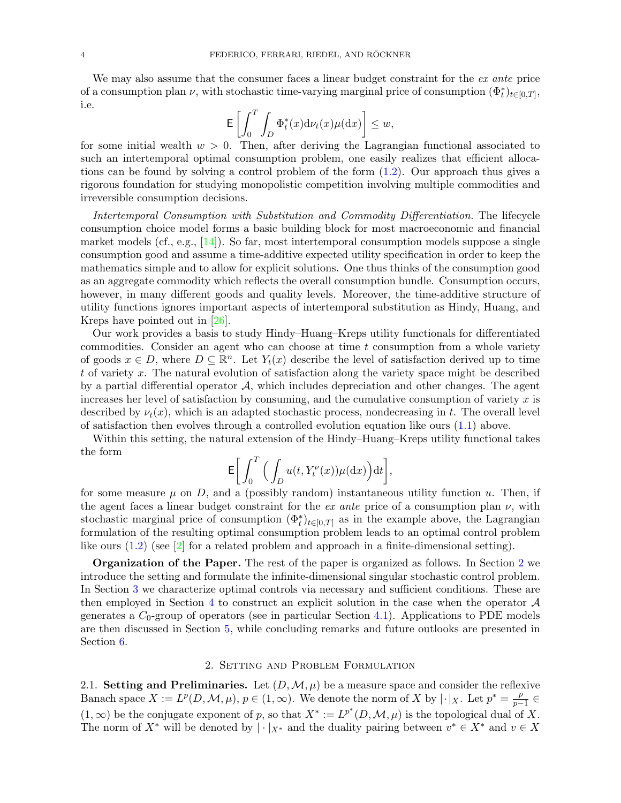We may also assume that the consumer faces a linear budget constraint for the ex ante price of a consumption plan  $\nu$ , with stochastic time-varying marginal price of consumption  $(\Phi_t^*)_{t\in[0,T]},$ i.e.

$$
\mathsf{E}\left[\int_0^T \int_D \Phi_t^*(x) \mathrm{d}\nu_t(x) \mu(\mathrm{d}x)\right] \leq w,
$$

for some initial wealth  $w > 0$ . Then, after deriving the Lagrangian functional associated to such an intertemporal optimal consumption problem, one easily realizes that efficient allocations can be found by solving a control problem of the form [\(1.2\)](#page-0-1). Our approach thus gives a rigorous foundation for studying monopolistic competition involving multiple commodities and irreversible consumption decisions.

Intertemporal Consumption with Substitution and Commodity Differentiation. The lifecycle consumption choice model forms a basic building block for most macroeconomic and financial market models (cf., e.g.,  $[14]$ ). So far, most intertemporal consumption models suppose a single consumption good and assume a time-additive expected utility specification in order to keep the mathematics simple and to allow for explicit solutions. One thus thinks of the consumption good as an aggregate commodity which reflects the overall consumption bundle. Consumption occurs, however, in many different goods and quality levels. Moreover, the time-additive structure of utility functions ignores important aspects of intertemporal substitution as Hindy, Huang, and Kreps have pointed out in [\[26\]](#page-20-12).

Our work provides a basis to study Hindy–Huang–Kreps utility functionals for differentiated commodities. Consider an agent who can choose at time  $t$  consumption from a whole variety of goods  $x \in D$ , where  $D \subseteq \mathbb{R}^n$ . Let  $Y_t(x)$  describe the level of satisfaction derived up to time t of variety x. The natural evolution of satisfaction along the variety space might be described by a partial differential operator  $A$ , which includes depreciation and other changes. The agent increases her level of satisfaction by consuming, and the cumulative consumption of variety  $x$  is described by  $\nu_t(x)$ , which is an adapted stochastic process, nondecreasing in t. The overall level of satisfaction then evolves through a controlled evolution equation like ours [\(1.1\)](#page-0-0) above.

Within this setting, the natural extension of the Hindy–Huang–Kreps utility functional takes the form

$$
{\rm E}\bigg[\int_0^T\Big(\int_D u(t,Y_t^\nu(x))\mu({\rm d}x)\Big){\rm d}t\bigg],
$$

for some measure  $\mu$  on D, and a (possibly random) instantaneous utility function u. Then, if the agent faces a linear budget constraint for the ex ante price of a consumption plan  $\nu$ , with stochastic marginal price of consumption  $(\Phi_t^*)_{t\in[0,T]}$  as in the example above, the Lagrangian formulation of the resulting optimal consumption problem leads to an optimal control problem like ours  $(1.2)$  (see  $\boxed{2}$  for a related problem and approach in a finite-dimensional setting).

Organization of the Paper. The rest of the paper is organized as follows. In Section [2](#page-3-1) we introduce the setting and formulate the infinite-dimensional singular stochastic control problem. In Section [3](#page-6-1) we characterize optimal controls via necessary and sufficient conditions. These are then employed in Section [4](#page-10-0) to construct an explicit solution in the case when the operator  $\mathcal A$ generates a  $C_0$ -group of operators (see in particular Section [4.1\)](#page-12-0). Applications to PDE models are then discussed in Section [5,](#page-17-0) while concluding remarks and future outlooks are presented in Section [6.](#page-18-0)

#### 2. Setting and Problem Formulation

<span id="page-3-1"></span><span id="page-3-0"></span>2.1. Setting and Preliminaries. Let  $(D, \mathcal{M}, \mu)$  be a measure space and consider the reflexive Banach space  $X := L^p(D, \mathcal{M}, \mu)$ ,  $p \in (1, \infty)$ . We denote the norm of X by  $|\cdot|_X$ . Let  $p^* = \frac{p}{p-1}$  $\frac{p}{p-1} \in$  $(1,\infty)$  be the conjugate exponent of p, so that  $X^* := L^{p^*}(D,\mathcal{M},\mu)$  is the topological dual of X. The norm of  $X^*$  will be denoted by  $|\cdot|_{X^*}$  and the duality pairing between  $v^* \in X^*$  and  $v \in X$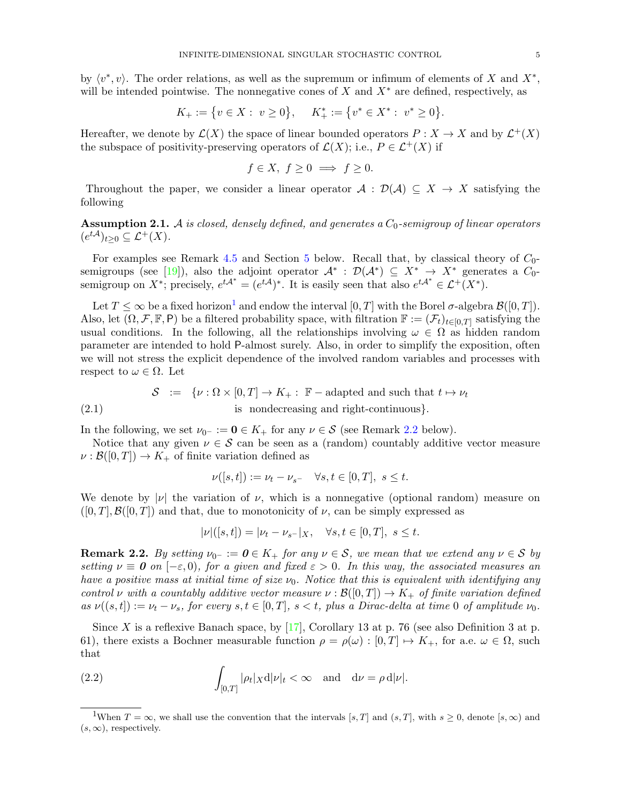by  $\langle v^*, v \rangle$ . The order relations, as well as the supremum or infimum of elements of X and  $X^*$ , will be intended pointwise. The nonnegative cones of  $X$  and  $X^*$  are defined, respectively, as

$$
K_+:=\big\{v\in X:\ v\geq 0\big\},\quad \ K_+^*:=\big\{v^*\in X^*\,\colon\ v^*\geq 0\big\}.
$$

Hereafter, we denote by  $\mathcal{L}(X)$  the space of linear bounded operators  $P: X \to X$  and by  $\mathcal{L}^+(X)$ the subspace of positivity-preserving operators of  $\mathcal{L}(X)$ ; i.e.,  $P \in \mathcal{L}^+(X)$  if

$$
f \in X, f \ge 0 \implies f \ge 0.
$$

Throughout the paper, we consider a linear operator  $\mathcal{A}: \mathcal{D}(\mathcal{A}) \subseteq X \to X$  satisfying the following

<span id="page-4-3"></span>**Assumption 2.1.** A is closed, densely defined, and generates a  $C_0$ -semigroup of linear operators  $(e^{t\mathcal{A}})_{t\geq 0}\subseteq \mathcal{L}^{+}(X).$ 

For examples see Remark [4.5](#page-12-1) and Section [5](#page-17-0) below. Recall that, by classical theory of  $C_0$ -semigroups (see [\[19\]](#page-20-13)), also the adjoint operator  $\mathcal{A}^* : \mathcal{D}(\mathcal{A}^*) \subseteq X^* \to X^*$  generates a  $C_0$ semigroup on X<sup>\*</sup>; precisely,  $e^{t\mathcal{A}^*} = (e^{t\mathcal{A}})^*$ . It is easily seen that also  $e^{t\mathcal{A}^*} \in \mathcal{L}^+(X^*)$ .

Let  $T \leq \infty$  be a fixed horizon<sup>[1](#page-4-0)</sup> and endow the interval  $[0, T]$  with the Borel  $\sigma$ -algebra  $\mathcal{B}([0, T])$ . Also, let  $(\Omega, \mathcal{F}, \mathbb{F}, P)$  be a filtered probability space, with filtration  $\mathbb{F} := (\mathcal{F}_t)_{t \in [0,T]}$  satisfying the usual conditions. In the following, all the relationships involving  $\omega \in \Omega$  as hidden random parameter are intended to hold P-almost surely. Also, in order to simplify the exposition, often we will not stress the explicit dependence of the involved random variables and processes with respect to  $\omega \in \Omega$ . Let

(2.1) 
$$
\mathcal{S} := \{ \nu : \Omega \times [0, T] \to K_+ : \mathbb{F} - \text{adapted and such that } t \mapsto \nu_t \}
$$
  
is nondecreasing and right-continuous\}.

In the following, we set  $\nu_{0^-} := \mathbf{0} \in K_+$  for any  $\nu \in \mathcal{S}$  (see Remark [2.2](#page-4-1) below).

Notice that any given  $\nu \in \mathcal{S}$  can be seen as a (random) countably additive vector measure  $\nu : \mathcal{B}([0,T]) \to K_{+}$  of finite variation defined as

$$
\nu([s,t]):=\nu_t-\nu_{s^-}\quad \forall s,t\in[0,T],\ s\leq t.
$$

We denote by  $|\nu|$  the variation of  $\nu$ , which is a nonnegative (optional random) measure on  $([0, T], \mathcal{B}([0, T])$  and that, due to monotonicity of  $\nu$ , can be simply expressed as

$$
|\nu|([s,t]) = |\nu_t - \nu_{s^-}|_X, \quad \forall s, t \in [0,T], \ s \le t.
$$

<span id="page-4-1"></span>**Remark 2.2.** By setting  $\nu_0$ - :=  $0 \in K_+$  for any  $\nu \in S$ , we mean that we extend any  $\nu \in S$  by setting  $\nu \equiv 0$  on  $[-\varepsilon, 0)$ , for a given and fixed  $\varepsilon > 0$ . In this way, the associated measures an have a positive mass at initial time of size  $\nu_0$ . Notice that this is equivalent with identifying any control v with a countably additive vector measure  $\nu : \mathcal{B}([0,T]) \to K_{+}$  of finite variation defined as  $\nu((s,t]) := \nu_t - \nu_s$ , for every  $s, t \in [0,T]$ ,  $s < t$ , plus a Dirac-delta at time 0 of amplitude  $\nu_0$ .

Since X is a reflexive Banach space, by [\[17\]](#page-20-14), Corollary 13 at p. 76 (see also Definition 3 at p. 61), there exists a Bochner measurable function  $\rho = \rho(\omega) : [0, T] \mapsto K_+$ , for a.e.  $\omega \in \Omega$ , such that

<span id="page-4-2"></span>(2.2) 
$$
\int_{[0,T]} |\rho_t|_X \mathrm{d} |\nu|_t < \infty \quad \text{and} \quad \mathrm{d}\nu = \rho \mathrm{d} |\nu|.
$$

<span id="page-4-0"></span><sup>&</sup>lt;sup>1</sup>When  $T = \infty$ , we shall use the convention that the intervals [s, T] and  $(s, T]$ , with  $s \geq 0$ , denote [s,  $\infty$ ) and  $(s, \infty)$ , respectively.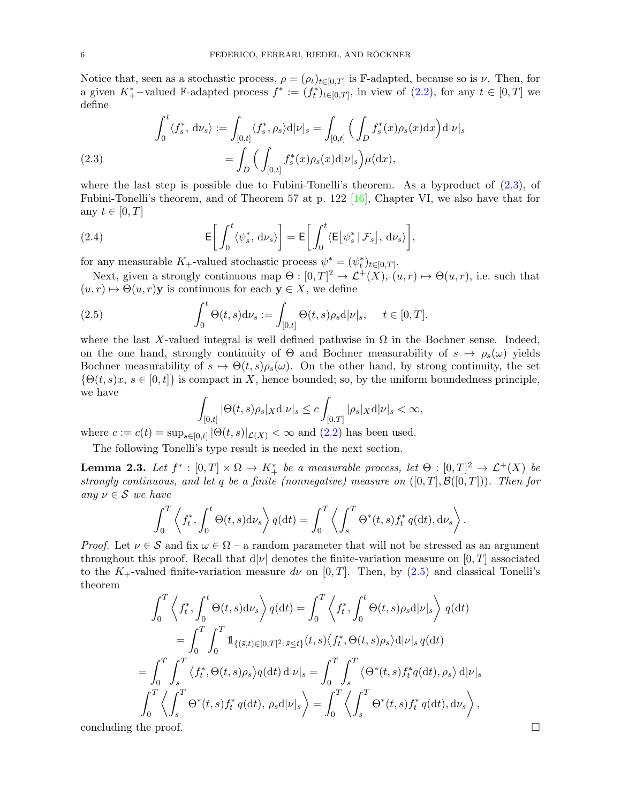Notice that, seen as a stochastic process,  $\rho = (\rho_t)_{t \in [0,T]}$  is F-adapted, because so is  $\nu$ . Then, for a given  $K^*_{+}$ -valued F-adapted process  $f^* := (f_t^*)_{t \in [0,T]}$ , in view of  $(2.2)$ , for any  $t \in [0,T]$  we define

<span id="page-5-0"></span>(2.3) 
$$
\int_0^t \langle f_s^*, \, \mathrm{d}\nu_s \rangle := \int_{[0,t]} \langle f_s^*, \rho_s \rangle \mathrm{d} |\nu|_s = \int_{[0,t]} \Big( \int_D f_s^*(x) \rho_s(x) \mathrm{d} x \Big) \mathrm{d} |\nu|_s
$$

$$
= \int_D \Big( \int_{[0,t]} f_s^*(x) \rho_s(x) \mathrm{d} |\nu|_s \Big) \mu(\mathrm{d} x),
$$

where the last step is possible due to Fubini-Tonelli's theorem. As a byproduct of [\(2.3\)](#page-5-0), of Fubini-Tonelli's theorem, and of Theorem 57 at p. 122  $[16]$ , Chapter VI, we also have that for any  $t \in [0, T]$ 

<span id="page-5-3"></span>(2.4) 
$$
\mathsf{E}\bigg[\int_0^t \langle \psi_s^*, \, \mathrm{d}\nu_s \rangle\bigg] = \mathsf{E}\bigg[\int_0^t \langle \mathsf{E}\big[\psi_s^*\,|\,\mathcal{F}_s\big], \, \mathrm{d}\nu_s \rangle\bigg],
$$

for any measurable  $K_+$ -valued stochastic process  $\psi^* = (\psi_t^*)_{t \in [0,T]}$ .

Next, given a strongly continuous map  $\Theta : [0, T]^2 \to \mathcal{L}^+(X)$ ,  $(u, r) \mapsto \Theta(u, r)$ , i.e. such that  $(u, r) \mapsto \Theta(u, r)$ y is continuous for each  $y \in X$ , we define

(2.5) 
$$
\int_0^t \Theta(t,s) \mathrm{d} \nu_s := \int_{[0,t]} \Theta(t,s) \rho_s \mathrm{d} |\nu|_s, \quad t \in [0,T].
$$

where the last X-valued integral is well defined pathwise in  $\Omega$  in the Bochner sense. Indeed, on the one hand, strongly continuity of  $\Theta$  and Bochner measurability of  $s \mapsto \rho_s(\omega)$  yields Bochner measurability of  $s \mapsto \Theta(t, s)\rho_s(\omega)$ . On the other hand, by strong continuity, the set  $\{\Theta(t,s)x, s \in [0,t]\}\$ is compact in X, hence bounded; so, by the uniform boundedness principle, we have

<span id="page-5-1"></span>
$$
\int_{[0,t]} |\Theta(t,s)\rho_s|_X \mathrm{d} |\nu|_s \le c \int_{[0,T]} |\rho_s|_X \mathrm{d} |\nu|_s < \infty,
$$

where  $c := c(t) = \sup_{s \in [0,t]} |\Theta(t,s)|_{\mathcal{L}(X)} < \infty$  and  $(2.2)$  has been used.

The following Tonelli's type result is needed in the next section.

<span id="page-5-2"></span>**Lemma 2.3.** Let  $f^* : [0,T] \times \Omega \to K^*$  be a measurable process, let  $\Theta : [0,T]^2 \to \mathcal{L}^+(X)$  be strongly continuous, and let q be a finite (nonnegative) measure on  $([0, T], \mathcal{B}([0, T]))$ . Then for any  $\nu \in \mathcal{S}$  we have

$$
\int_0^T \left\langle f_t^*, \int_0^t \Theta(t,s) \mathrm{d} \nu_s \right\rangle q(\mathrm{d} t) = \int_0^T \left\langle \int_s^T \Theta^*(t,s) f_t^* q(\mathrm{d} t), \mathrm{d} \nu_s \right\rangle.
$$

*Proof.* Let  $\nu \in S$  and fix  $\omega \in \Omega$  – a random parameter that will not be stressed as an argument throughout this proof. Recall that  $d|\nu|$  denotes the finite-variation measure on [0, T] associated to the K<sub>+</sub>-valued finite-variation measure dv on [0, T]. Then, by [\(2.5\)](#page-5-1) and classical Tonelli's theorem

$$
\int_0^T \left\langle f_t^*, \int_0^t \Theta(t, s) \mathrm{d} \nu_s \right\rangle q(\mathrm{d} t) = \int_0^T \left\langle f_t^*, \int_0^t \Theta(t, s) \rho_s \mathrm{d} |\nu|_s \right\rangle q(\mathrm{d} t)
$$
  
\n
$$
= \int_0^T \int_0^T \mathbb{1}_{\{(\bar{s}, \bar{t}) \in [0, T]^2 : \bar{s} \le \bar{t}\}}(t, s) \left\langle f_t^*, \Theta(t, s) \rho_s \right\rangle \mathrm{d} |\nu|_s q(\mathrm{d} t)
$$
  
\n
$$
= \int_0^T \int_s^T \left\langle f_t^*, \Theta(t, s) \rho_s \right\rangle q(\mathrm{d} t) \mathrm{d} |\nu|_s = \int_0^T \int_s^T \left\langle \Theta^*(t, s) f_t^* q(\mathrm{d} t), \rho_s \right\rangle \mathrm{d} |\nu|_s
$$
  
\n
$$
\int_0^T \left\langle \int_s^T \Theta^*(t, s) f_t^* q(\mathrm{d} t), \rho_s \mathrm{d} |\nu|_s \right\rangle = \int_0^T \left\langle \int_s^T \Theta^*(t, s) f_t^* q(\mathrm{d} t), \mathrm{d} \nu_s \right\rangle,
$$

concluding the proof.

$$
\qquad \qquad \Box
$$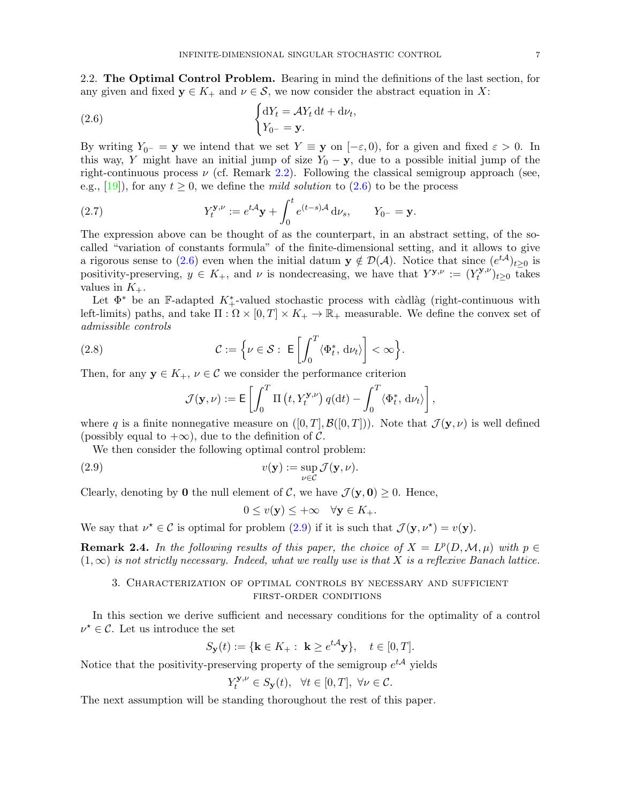2.2. The Optimal Control Problem. Bearing in mind the definitions of the last section, for any given and fixed  $y \in K_+$  and  $\nu \in S$ , we now consider the abstract equation in X:

<span id="page-6-2"></span>(2.6) 
$$
\begin{cases} dY_t = \mathcal{A}Y_t dt + d\nu_t, \\ Y_{0^-} = \mathbf{y}. \end{cases}
$$

By writing  $Y_{0-} = y$  we intend that we set  $Y \equiv y$  on  $[-\varepsilon, 0)$ , for a given and fixed  $\varepsilon > 0$ . In this way, Y might have an initial jump of size  $Y_0 - y$ , due to a possible initial jump of the right-continuous process  $\nu$  (cf. Remark [2.2\)](#page-4-1). Following the classical semigroup approach (see, e.g., [\[19\]](#page-20-13)), for any  $t \geq 0$ , we define the *mild solution* to [\(2.6\)](#page-6-2) to be the process

<span id="page-6-0"></span>(2.7) 
$$
Y_t^{\mathbf{y}, \nu} := e^{t\mathcal{A}} \mathbf{y} + \int_0^t e^{(t-s)\mathcal{A}} d\nu_s, \qquad Y_{0^-} = \mathbf{y}.
$$

The expression above can be thought of as the counterpart, in an abstract setting, of the socalled "variation of constants formula" of the finite-dimensional setting, and it allows to give a rigorous sense to [\(2.6\)](#page-6-2) even when the initial datum  $y \notin D(\mathcal{A})$ . Notice that since  $(e^{t\mathcal{A}})_{t\geq 0}$  is positivity-preserving,  $y \in K_+$ , and  $\nu$  is nondecreasing, we have that  $Y^{\mathbf{y},\nu} := (Y_t^{\mathbf{y},\nu})$  $(t^{(y,\nu)}_t)_{t\geq 0}$  takes values in  $K_{+}$ .

Let  $\Phi^*$  be an F-adapted  $K^*_{+}$ -valued stochastic process with càdlàg (right-continuous with left-limits) paths, and take  $\Pi : \Omega \times [0,T] \times K_+ \to \mathbb{R}_+$  measurable. We define the convex set of admissible controls

(2.8) 
$$
\mathcal{C} := \left\{ \nu \in \mathcal{S} : \ \mathsf{E} \left[ \int_0^T \langle \Phi_t^*, \, \mathrm{d} \nu_t \rangle \right] < \infty \right\}.
$$

Then, for any  $y \in K_+$ ,  $\nu \in \mathcal{C}$  we consider the performance criterion

$$
\mathcal{J}(\mathbf{y}, \nu) := \mathsf{E}\left[\int_0^T \Pi\left(t, Y_t^{\mathbf{y}, \nu}\right) q(\mathrm{d}t) - \int_0^T \langle \Phi_t^*, \, \mathrm{d}\nu_t \rangle \right],
$$

where q is a finite nonnegative measure on  $([0, T], \mathcal{B}([0, T]))$ . Note that  $\mathcal{J}(\mathbf{y}, \nu)$  is well defined (possibly equal to  $+\infty$ ), due to the definition of C.

We then consider the following optimal control problem:

(2.9) 
$$
v(\mathbf{y}) := \sup_{\nu \in \mathcal{C}} \mathcal{J}(\mathbf{y}, \nu).
$$

Clearly, denoting by 0 the null element of C, we have  $\mathcal{J}(\mathbf{y}, \mathbf{0}) \geq 0$ . Hence,

<span id="page-6-3"></span>
$$
0 \le v(\mathbf{y}) \le +\infty \quad \forall \mathbf{y} \in K_+.
$$

We say that  $\nu^* \in \mathcal{C}$  is optimal for problem [\(2.9\)](#page-6-3) if it is such that  $\mathcal{J}(\mathbf{y}, \nu^*) = v(\mathbf{y})$ .

**Remark 2.4.** In the following results of this paper, the choice of  $X = L^p(D, \mathcal{M}, \mu)$  with  $p \in$  $(1,\infty)$  is not strictly necessary. Indeed, what we really use is that X is a reflexive Banach lattice.

## <span id="page-6-1"></span>3. Characterization of optimal controls by necessary and sufficient first-order conditions

In this section we derive sufficient and necessary conditions for the optimality of a control  $\nu^* \in \mathcal{C}$ . Let us introduce the set

$$
S_{\mathbf{y}}(t) := \{ \mathbf{k} \in K_+ : \ \mathbf{k} \ge e^{t\mathcal{A}} \mathbf{y} \}, \quad t \in [0, T].
$$

Notice that the positivity-preserving property of the semigroup  $e^{t\mathcal{A}}$  yields

$$
Y_t^{\mathbf{y},\nu} \in S_{\mathbf{y}}(t), \ \ \forall t \in [0,T], \ \forall \nu \in \mathcal{C}.
$$

The next assumption will be standing thoroughout the rest of this paper.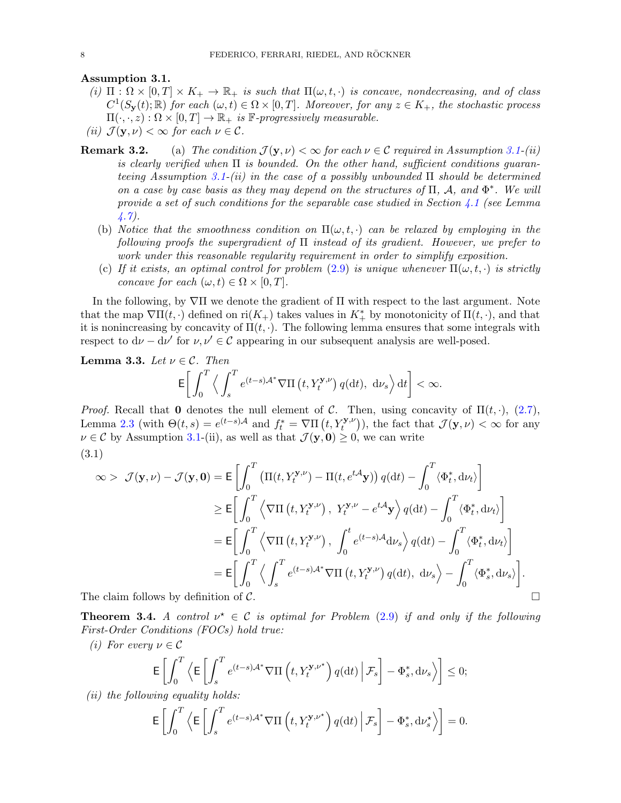Assumption 3.1.

- (i)  $\Pi : \Omega \times [0,T] \times K_+ \to \mathbb{R}_+$  is such that  $\Pi(\omega, t, \cdot)$  is concave, nondecreasing, and of class  $C^1(S_{\mathbf{y}}(t); \mathbb{R})$  for each  $(\omega, t) \in \Omega \times [0, T]$ . Moreover, for any  $z \in K_+$ , the stochastic process  $\Pi(\cdot,\cdot,z): \Omega \times [0,T] \to \mathbb{R}_+$  is F-progressively measurable.
- (ii)  $\mathcal{J}(\mathbf{y}, \nu) < \infty$  for each  $\nu \in \mathcal{C}$ .
- **Remark 3.2.** (a) The condition  $\mathcal{J}(\mathbf{y}, \nu) < \infty$  for each  $\nu \in \mathcal{C}$  required in Assumption [3.1-](#page-0-2)(ii) is clearly verified when  $\Pi$  is bounded. On the other hand, sufficient conditions guaran-teeing Assumption [3.1-](#page-0-2)(ii) in the case of a possibly unbounded  $\Pi$  should be determined on a case by case basis as they may depend on the structures of  $\Pi$ , A, and  $\Phi^*$ . We will provide a set of such conditions for the separable case studied in Section [4.1](#page-12-0) (see Lemma [4.7\)](#page-14-0).
	- (b) Notice that the smoothness condition on  $\Pi(\omega, t, \cdot)$  can be relaxed by employing in the following proofs the supergradient of  $\Pi$  instead of its gradient. However, we prefer to work under this reasonable regularity requirement in order to simplify exposition.
	- (c) If it exists, an optimal control for problem [\(2.9\)](#page-6-3) is unique whenever  $\Pi(\omega, t, \cdot)$  is strictly concave for each  $(\omega, t) \in \Omega \times [0, T]$ .

In the following, by ∇Π we denote the gradient of Π with respect to the last argument. Note that the map  $\nabla \Pi(t, \cdot)$  defined on ri $(K_{+})$  takes values in  $K_{+}^{*}$  by monotonicity of  $\Pi(t, \cdot)$ , and that it is nonincreasing by concavity of  $\Pi(t, \cdot)$ . The following lemma ensures that some integrals with respect to  $d\nu - d\nu'$  for  $\nu, \nu' \in \mathcal{C}$  appearing in our subsequent analysis are well-posed.

<span id="page-7-0"></span>**Lemma 3.3.** Let  $\nu \in \mathcal{C}$ . Then

$$
\mathsf{E}\bigg[\int_0^T\Big\langle\int_s^Te^{(t-s)\mathcal{A}^*}\nabla\Pi\left(t,Y_t^{\mathbf{y},\nu}\right)q(\mathop{}\!\mathrm{d} t),\ \mathop{}\!\mathrm{d} \nu_s\Big\rangle\mathop{}\!\mathrm{d} t\bigg]<\infty.
$$

*Proof.* Recall that 0 denotes the null element of C. Then, using concavity of  $\Pi(t, \cdot)$ , [\(2.7\)](#page-6-0), Lemma [2.3](#page-5-2) (with  $\Theta(t,s) = e^{(t-s)\mathcal{A}}$  and  $f_t^* = \nabla \Pi(t, Y_t^{\mathbf{y},\nu})$ ), the fact that  $\mathcal{J}(\mathbf{y}, \nu) < \infty$  for any  $\nu \in \mathcal{C}$  by Assumption [3.1-](#page-0-2)(ii), as well as that  $\mathcal{J}(\mathbf{y}, \mathbf{0}) \geq 0$ , we can write (3.1)

$$
\infty > \mathcal{J}(\mathbf{y}, \nu) - \mathcal{J}(\mathbf{y}, \mathbf{0}) = \mathbb{E} \left[ \int_0^T \left( \Pi(t, Y_t^{\mathbf{y}, \nu}) - \Pi(t, e^{t\mathbf{A}} \mathbf{y}) \right) q(\mathrm{d}t) - \int_0^T \langle \Phi_t^*, \mathrm{d}\nu_t \rangle \right]
$$
  
\n
$$
\geq \mathbb{E} \left[ \int_0^T \left\langle \nabla \Pi(t, Y_t^{\mathbf{y}, \nu}), Y_t^{\mathbf{y}, \nu} - e^{t\mathbf{A}} \mathbf{y} \right\rangle q(\mathrm{d}t) - \int_0^T \left\langle \Phi_t^*, \mathrm{d}\nu_t \right\rangle \right]
$$
  
\n
$$
= \mathbb{E} \left[ \int_0^T \left\langle \nabla \Pi(t, Y_t^{\mathbf{y}, \nu}), \int_0^t e^{(t-s)\mathbf{A}} \mathrm{d}\nu_s \right\rangle q(\mathrm{d}t) - \int_0^T \left\langle \Phi_t^*, \mathrm{d}\nu_t \right\rangle \right]
$$
  
\n
$$
= \mathbb{E} \left[ \int_0^T \left\langle \int_s^T e^{(t-s)\mathbf{A}^*} \nabla \Pi(t, Y_t^{\mathbf{y}, \nu}) q(\mathrm{d}t), \mathrm{d}\nu_s \right\rangle - \int_0^T \left\langle \Phi_s^*, \mathrm{d}\nu_s \right\rangle \right].
$$
  
\n
$$
\text{The claim follows by definition of } C
$$

The claim follows by definition of  $C$ .

<span id="page-7-1"></span>**Theorem 3.4.** A control  $\nu^* \in \mathcal{C}$  is optimal for Problem [\(2.9\)](#page-6-3) if and only if the following First-Order Conditions (FOCs) hold true:

(i) For every  $\nu \in \mathcal{C}$ 

$$
\mathsf{E}\left[\int_0^T \left\langle \mathsf{E}\left[\int_s^T e^{(t-s)\mathcal{A}^*} \nabla\Pi\left(t, Y_t^{\mathbf{y}, \nu^*}\right) q(\mathrm{d} t)\Big| \mathcal{F}_s\right] - \Phi_s^*, \mathrm{d}\nu_s \right\rangle\right] \leq 0;
$$

 $(ii)$  the following equality holds:

$$
\mathsf{E}\left[\int_0^T \left\langle \mathsf{E}\left[\int_s^T e^{(t-s)\mathcal{A}^*} \nabla \Pi\left(t, Y_t^{\mathbf{y}, \nu^*}\right) q(\mathrm{d}t) \Big| \mathcal{F}_s\right] - \Phi_s^*, \mathrm{d}\nu_s^* \right\rangle\right] = 0.
$$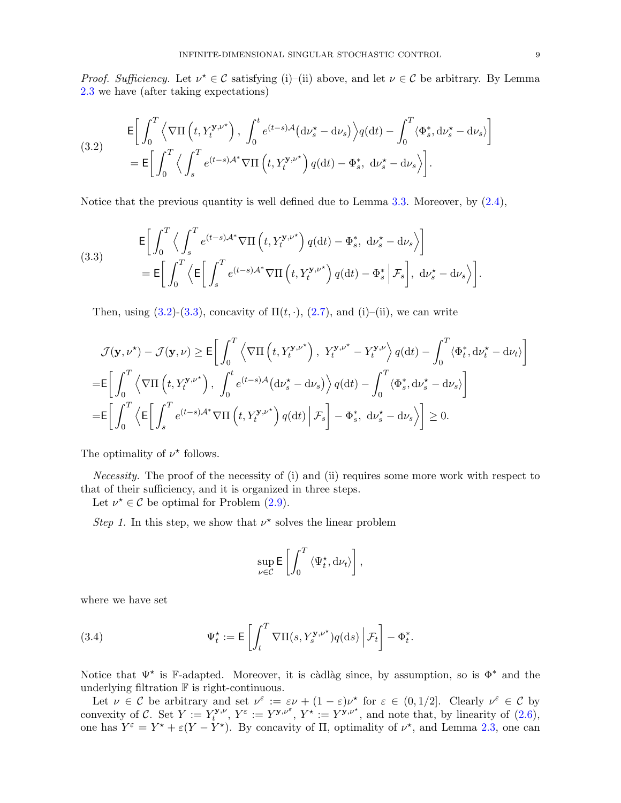*Proof. Sufficiency.* Let  $\nu^* \in \mathcal{C}$  satisfying (i)–(ii) above, and let  $\nu \in \mathcal{C}$  be arbitrary. By Lemma [2.3](#page-5-2) we have (after taking expectations)

<span id="page-8-0"></span>(3.2) 
$$
\mathsf{E}\bigg[\int_0^T \left\langle \nabla\Pi\left(t, Y_t^{\mathbf{y}, \nu^*}\right), \int_0^t e^{(t-s)\mathcal{A}} \left(\mathrm{d}\nu_s^* - \mathrm{d}\nu_s\right) \right\rangle q(\mathrm{d}t) - \int_0^T \left\langle \Phi_s^*, \mathrm{d}\nu_s^* - \mathrm{d}\nu_s \right\rangle \bigg] \n= \mathsf{E}\bigg[\int_0^T \left\langle \int_s^T e^{(t-s)\mathcal{A}^*} \nabla\Pi\left(t, Y_t^{\mathbf{y}, \nu^*}\right) q(\mathrm{d}t) - \Phi_s^*, \mathrm{d}\nu_s^* - \mathrm{d}\nu_s \right\rangle \bigg].
$$

Notice that the previous quantity is well defined due to Lemma [3.3.](#page-7-0) Moreover, by  $(2.4)$ ,

<span id="page-8-1"></span>(3.3)  
\n
$$
\begin{aligned}\n\mathsf{E}\bigg[\int_0^T \Big\langle \int_s^T e^{(t-s)\mathcal{A}^*} \nabla \Pi\left(t, Y_t^{\mathbf{y}, \nu^*}\right) q(\mathrm{d}t) - \Phi_s^*, \ \mathrm{d}\nu_s^* - \mathrm{d}\nu_s \Big\rangle\bigg] \\
= \mathsf{E}\bigg[\int_0^T \Big\langle \mathsf{E}\bigg[\int_s^T e^{(t-s)\mathcal{A}^*} \nabla \Pi\left(t, Y_t^{\mathbf{y}, \nu^*}\right) q(\mathrm{d}t) - \Phi_s^* \Big| \mathcal{F}_s\bigg], \ \mathrm{d}\nu_s^* - \mathrm{d}\nu_s \Big\rangle\bigg].\n\end{aligned}
$$

Then, using  $(3.2)-(3.3)$  $(3.2)-(3.3)$  $(3.2)-(3.3)$ , concavity of  $\Pi(t, \cdot)$ ,  $(2.7)$ , and  $(i)$ –(ii), we can write

$$
\mathcal{J}(\mathbf{y},\nu^{*}) - \mathcal{J}(\mathbf{y},\nu) \geq \mathsf{E}\bigg[\int_{0}^{T} \left\langle \nabla\Pi\left(t,Y_{t}^{\mathbf{y},\nu^{*}}\right), Y_{t}^{\mathbf{y},\nu^{*}} - Y_{t}^{\mathbf{y},\nu}\right\rangle q(\mathrm{d}t) - \int_{0}^{T} \left\langle \Phi_{t}^{*}, \mathrm{d}\nu_{t}^{*} - \mathrm{d}\nu_{t}\right\rangle\bigg]
$$
  
\n
$$
= \mathsf{E}\bigg[\int_{0}^{T} \left\langle \nabla\Pi\left(t,Y_{t}^{\mathbf{y},\nu^{*}}\right), \int_{0}^{t} e^{(t-s)\mathcal{A}} (\mathrm{d}\nu_{s}^{*} - \mathrm{d}\nu_{s}) \right\rangle q(\mathrm{d}t) - \int_{0}^{T} \left\langle \Phi_{s}^{*}, \mathrm{d}\nu_{s}^{*} - \mathrm{d}\nu_{s}\right\rangle\bigg]
$$
  
\n
$$
= \mathsf{E}\bigg[\int_{0}^{T} \left\langle \mathsf{E}\bigg[\int_{s}^{T} e^{(t-s)\mathcal{A}^{*}} \nabla\Pi\left(t,Y_{t}^{\mathbf{y},\nu^{*}}\right) q(\mathrm{d}t) \Big| \mathcal{F}_{s}\bigg] - \Phi_{s}^{*}, \mathrm{d}\nu_{s}^{*} - \mathrm{d}\nu_{s}\right\rangle\bigg] \geq 0.
$$

The optimality of  $\nu^*$  follows.

Necessity. The proof of the necessity of (i) and (ii) requires some more work with respect to that of their sufficiency, and it is organized in three steps.

Let  $\nu^* \in \mathcal{C}$  be optimal for Problem [\(2.9\)](#page-6-3).

Step 1. In this step, we show that  $\nu^*$  solves the linear problem

<span id="page-8-2"></span>
$$
\sup_{\nu \in \mathcal{C}} \mathsf{E}\left[\int_0^T \left\langle \Psi_t^{\star}, \mathrm{d}\nu_t \right\rangle \right],
$$

where we have set

(3.4) 
$$
\Psi_t^* := \mathsf{E}\left[\int_t^T \nabla\Pi(s,Y_s^{\mathbf{y},\nu^*})q(\mathrm{d}s)\Big|\,\mathcal{F}_t\right] - \Phi_t^*.
$$

Notice that  $\Psi^*$  is F-adapted. Moreover, it is càdlàg since, by assumption, so is  $\Phi^*$  and the underlying filtration  $\mathbb F$  is right-continuous.

Let  $\nu \in \mathcal{C}$  be arbitrary and set  $\nu^{\varepsilon} := \varepsilon \nu + (1 - \varepsilon) \nu^*$  for  $\varepsilon \in (0, 1/2]$ . Clearly  $\nu^{\varepsilon} \in \mathcal{C}$  by convexity of C. Set  $Y := Y_t^{y,\nu}$  $Y_t^{\mathbf{y}, \nu}, Y^{\varepsilon} := Y^{\mathbf{y}, \nu^{\varepsilon}}, Y^{\star} := Y^{\mathbf{y}, \nu^{\star}},$  and note that, by linearity of  $(2.6)$ , one has  $Y^{\varepsilon} = Y^* + \varepsilon (Y - Y^*)$ . By concavity of  $\Pi$ , optimality of  $\nu^*$ , and Lemma [2.3,](#page-5-2) one can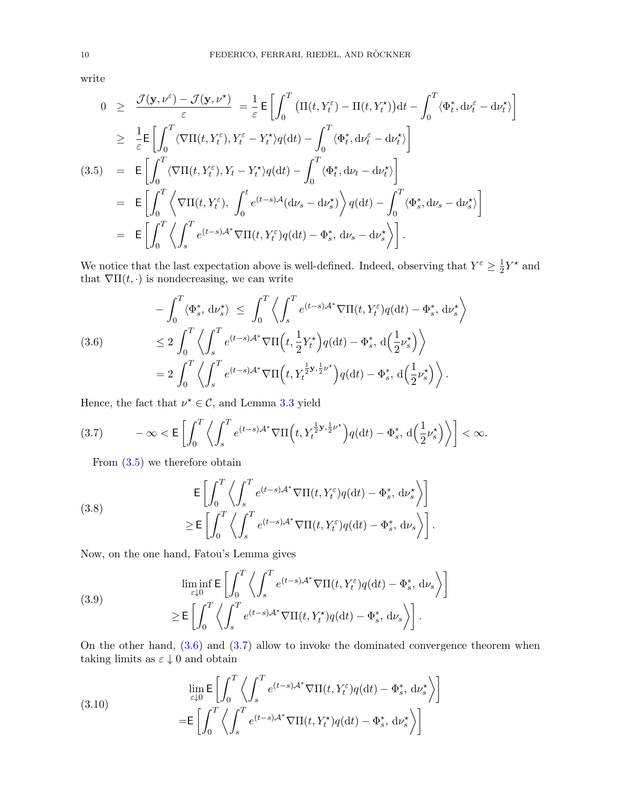1

write

<span id="page-9-0"></span>
$$
0 \geq \frac{\mathcal{J}(\mathbf{y}, \nu^{\varepsilon}) - \mathcal{J}(\mathbf{y}, \nu^{\star})}{\varepsilon} = \frac{1}{\varepsilon} \mathsf{E} \left[ \int_{0}^{T} \left( \Pi(t, Y_{t}^{\varepsilon}) - \Pi(t, Y_{t}^{\star}) \right) dt - \int_{0}^{T} \langle \Phi_{t}^{*}, \mathrm{d}\nu_{t}^{\varepsilon} - \mathrm{d}\nu_{t}^{\star} \rangle \right] \n\geq \frac{1}{\varepsilon} \mathsf{E} \left[ \int_{0}^{T} \langle \nabla \Pi(t, Y_{t}^{\varepsilon}), Y_{t}^{\varepsilon} - Y_{t}^{\star} \rangle q(\mathrm{d}t) - \int_{0}^{T} \langle \Phi_{t}^{*}, \mathrm{d}\nu_{t}^{\varepsilon} - \mathrm{d}\nu_{t}^{\star} \rangle \right] \n(3.5) = \mathsf{E} \left[ \int_{0}^{T} \langle \nabla \Pi(t, Y_{t}^{\varepsilon}), Y_{t} - Y_{t}^{\star} \rangle q(\mathrm{d}t) - \int_{0}^{T} \langle \Phi_{t}^{*}, \mathrm{d}\nu_{t} - \mathrm{d}\nu_{t}^{\star} \rangle \right] \n= \mathsf{E} \left[ \int_{0}^{T} \left\langle \nabla \Pi(t, Y_{t}^{\varepsilon}), \int_{0}^{t} e^{(t-s)\mathcal{A}} (\mathrm{d}\nu_{s} - \mathrm{d}\nu_{s}^{\star}) \right\rangle q(\mathrm{d}t) - \int_{0}^{T} \langle \Phi_{s}^{*}, \mathrm{d}\nu_{s} - \mathrm{d}\nu_{s}^{\star} \rangle \right] \n= \mathsf{E} \left[ \int_{0}^{T} \left\langle \int_{s}^{T} e^{(t-s)\mathcal{A}^{*}} \nabla \Pi(t, Y_{t}^{\varepsilon}) q(\mathrm{d}t) - \Phi_{s}^{*}, \mathrm{d}\nu_{s} - \mathrm{d}\nu_{s}^{\star} \right\rangle \right].
$$

We notice that the last expectation above is well-defined. Indeed, observing that  $Y^{\varepsilon} \geq \frac{1}{2}$  $\frac{1}{2}Y^*$  and that  $\nabla \Pi(t, \cdot)$  is nondecreasing, we can write

<span id="page-9-1"></span>(3.6)  
\n
$$
-\int_0^T \langle \Phi_s^*, d\nu_s^* \rangle \le \int_0^T \left\langle \int_s^T e^{(t-s)\mathcal{A}^*} \nabla \Pi(t, Y_t^{\varepsilon}) q(\mathrm{d}t) - \Phi_s^*, d\nu_s^* \right\rangle
$$
\n
$$
\le 2 \int_0^T \left\langle \int_s^T e^{(t-s)\mathcal{A}^*} \nabla \Pi\left(t, \frac{1}{2} Y_t^* \right) q(\mathrm{d}t) - \Phi_s^*, d\left(\frac{1}{2} \nu_s^* \right) \right\rangle
$$
\n
$$
= 2 \int_0^T \left\langle \int_s^T e^{(t-s)\mathcal{A}^*} \nabla \Pi\left(t, Y_t^{\frac{1}{2} \mathbf{y}, \frac{1}{2} \nu^*} \right) q(\mathrm{d}t) - \Phi_s^*, d\left(\frac{1}{2} \nu_s^* \right) \right\rangle.
$$

Hence, the fact that  $\nu^* \in \mathcal{C}$ , and Lemma [3.3](#page-7-0) yield

<span id="page-9-2"></span>
$$
(3.7) \qquad -\infty < \mathsf{E}\left[\int_0^T \left\langle \int_s^T e^{(t-s)\mathcal{A}^*} \nabla \Pi\left(t, Y_t^{\frac{1}{2}\mathbf{y}, \frac{1}{2}\nu^*}\right) q(\mathrm{d}t) - \Phi_s^*, \, \mathrm{d}\left(\frac{1}{2}\nu_s^*\right) \right\rangle\right] < \infty.
$$

From [\(3.5\)](#page-9-0) we therefore obtain

<span id="page-9-3"></span>(3.8)  
\n
$$
\mathsf{E}\left[\int_0^T \left\langle \int_s^T e^{(t-s)\mathcal{A}^*} \nabla \Pi(t, Y_t^{\varepsilon}) q(\mathrm{d}t) - \Phi_s^*, \, \mathrm{d}\nu_s^* \right\rangle \right]
$$
\n
$$
\geq \mathsf{E}\left[\int_0^T \left\langle \int_s^T e^{(t-s)\mathcal{A}^*} \nabla \Pi(t, Y_t^{\varepsilon}) q(\mathrm{d}t) - \Phi_s^*, \, \mathrm{d}\nu_s \right\rangle \right].
$$

Now, on the one hand, Fatou's Lemma gives

<span id="page-9-4"></span>(3.9)  
\n
$$
\liminf_{\varepsilon \downarrow 0} \mathsf{E} \left[ \int_0^T \left\langle \int_s^T e^{(t-s)\mathcal{A}^*} \nabla \Pi(t, Y_t^{\varepsilon}) q(\mathrm{d}t) - \Phi_s^*, \, \mathrm{d}\nu_s \right\rangle \right]
$$
\n
$$
\geq \mathsf{E} \left[ \int_0^T \left\langle \int_s^T e^{(t-s)\mathcal{A}^*} \nabla \Pi(t, Y_t^*) q(\mathrm{d}t) - \Phi_s^*, \, \mathrm{d}\nu_s \right\rangle \right].
$$

On the other hand,  $(3.6)$  and  $(3.7)$  allow to invoke the dominated convergence theorem when taking limits as  $\varepsilon \downarrow 0$  and obtain

<span id="page-9-5"></span>(3.10) 
$$
\lim_{\varepsilon \downarrow 0} \mathsf{E} \left[ \int_0^T \left\langle \int_s^T e^{(t-s)\mathcal{A}^*} \nabla \Pi(t, Y_t^{\varepsilon}) q(\mathrm{d}t) - \Phi_s^*, \, \mathrm{d} \nu_s^* \right\rangle \right]
$$

$$
= \mathsf{E} \left[ \int_0^T \left\langle \int_s^T e^{(t-s)\mathcal{A}^*} \nabla \Pi(t, Y_t^*) q(\mathrm{d}t) - \Phi_s^*, \, \mathrm{d} \nu_s^* \right\rangle \right]
$$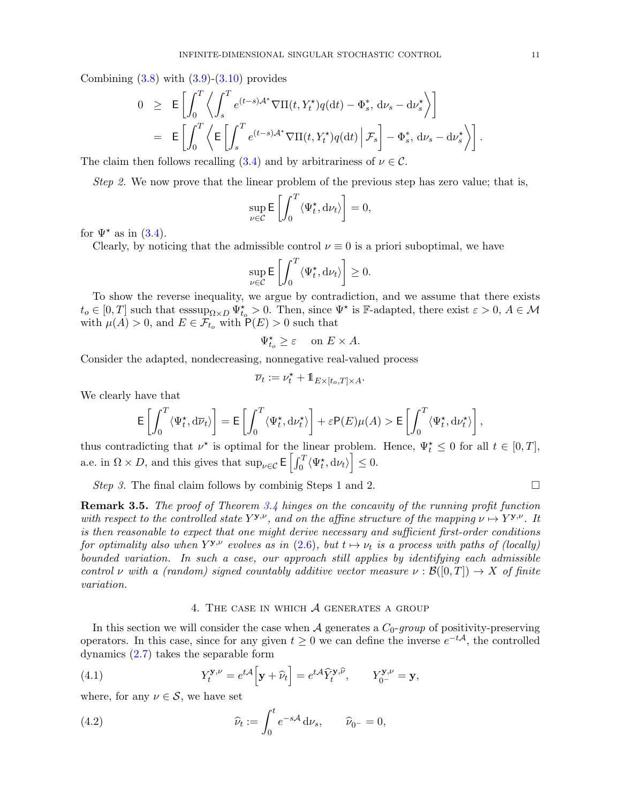Combining  $(3.8)$  with  $(3.9)-(3.10)$  $(3.9)-(3.10)$  $(3.9)-(3.10)$  provides

$$
0 \geq \mathbb{E}\left[\int_0^T \left\langle \int_s^T e^{(t-s)\mathcal{A}^*} \nabla\Pi(t, Y_t^{\star}) q(dt) - \Phi_s^*, d\nu_s - d\nu_s^{\star} \right\rangle\right]
$$
  

$$
= \mathbb{E}\left[\int_0^T \left\langle \mathbb{E}\left[\int_s^T e^{(t-s)\mathcal{A}^*} \nabla\Pi(t, Y_t^{\star}) q(dt) \Big| \mathcal{F}_s\right] - \Phi_s^*, d\nu_s - d\nu_s^{\star} \right\rangle\right].
$$

The claim then follows recalling [\(3.4\)](#page-8-2) and by arbitrariness of  $\nu \in \mathcal{C}$ .

Step 2. We now prove that the linear problem of the previous step has zero value; that is,

$$
\sup_{\nu \in \mathcal{C}} \mathsf{E}\left[\int_0^T \langle \Psi_t^{\star}, \mathrm{d}\nu_t \rangle \right] = 0,
$$

for  $\Psi^*$  as in [\(3.4\)](#page-8-2).

Clearly, by noticing that the admissible control  $\nu \equiv 0$  is a priori suboptimal, we have

$$
\sup_{\nu \in \mathcal{C}} \mathsf{E}\left[\int_0^T \langle \Psi_t^{\star}, \mathrm{d}\nu_t \rangle \right] \geq 0.
$$

To show the reverse inequality, we argue by contradiction, and we assume that there exists  $t_o \in [0,T]$  such that  $\operatorname{esssup}_{\Omega \times D} \Psi_{t_o}^* > 0$ . Then, since  $\Psi^*$  is F-adapted, there exist  $\varepsilon > 0$ ,  $A \in \mathcal{M}$ with  $\mu(A) > 0$ , and  $E \in \mathcal{F}_{t_0}$  with  $P(E) > 0$  such that

$$
\Psi_{t_o}^{\star} \ge \varepsilon \quad \text{ on } E \times A.
$$

Consider the adapted, nondecreasing, nonnegative real-valued process

$$
\overline{\nu}_t:=\nu_t^\star+\mathbb{1}_{E\times [t_o,T]\times A}.
$$

We clearly have that

$$
\mathsf{E}\left[\int_0^T \langle \Psi_t^\star, \mathrm{d} \overline{\nu}_t \rangle\right] = \mathsf{E}\left[\int_0^T \langle \Psi_t^\star, \mathrm{d} \nu_t^\star \rangle\right] + \varepsilon \mathsf{P}(E) \mu(A) > \mathsf{E}\left[\int_0^T \langle \Psi_t^\star, \mathrm{d} \nu_t^\star \rangle\right],
$$

thus contradicting that  $\nu^*$  is optimal for the linear problem. Hence,  $\Psi_t^* \leq 0$  for all  $t \in [0, T]$ , a.e. in  $\Omega \times D$ , and this gives that  $\sup_{\nu \in \mathcal{C}} \mathsf{E}\left[\int_0^T \langle \Psi_t^{\star}, \mathrm{d}\nu_t \rangle\right] \leq 0$ .

Step 3. The final claim follows by combinig Steps 1 and 2.

**Remark 3.5.** The proof of Theorem [3.4](#page-7-1) hinges on the concavity of the running profit function with respect to the controlled state  $Y^{\mathbf{y},\nu}$ , and on the affine structure of the mapping  $\nu \mapsto Y^{\mathbf{y},\nu}$ . It is then reasonable to expect that one might derive necessary and sufficient first-order conditions for optimality also when  $Y^{\mathbf{y}, \nu}$  evolves as in [\(2.6\)](#page-6-2), but  $t \mapsto \nu_t$  is a process with paths of (locally) bounded variation. In such a case, our approach still applies by identifying each admissible control v with a (random) signed countably additive vector measure  $\nu : \mathcal{B}([0,T]) \to X$  of finite variation.

### <span id="page-10-2"></span><span id="page-10-1"></span>4. The case in which A generates a group

<span id="page-10-0"></span>In this section we will consider the case when A generates a  $C_0$ -group of positivity-preserving operators. In this case, since for any given  $t \geq 0$  we can define the inverse  $e^{-t\mathcal{A}}$ , the controlled dynamics [\(2.7\)](#page-6-0) takes the separable form

(4.1) 
$$
Y_t^{\mathbf{y}, \nu} = e^{t\mathcal{A}} \Big[ \mathbf{y} + \widehat{\nu}_t \Big] = e^{t\mathcal{A}} \widehat{Y}_t^{\mathbf{y}, \widehat{\nu}}, \qquad Y_{0^-}^{\mathbf{y}, \nu} = \mathbf{y},
$$

where, for any  $\nu \in \mathcal{S}$ , we have set

(4.2) 
$$
\widehat{\nu}_t := \int_0^t e^{-s\mathcal{A}} \, \mathrm{d}\nu_s, \qquad \widehat{\nu}_{0^-} = 0,
$$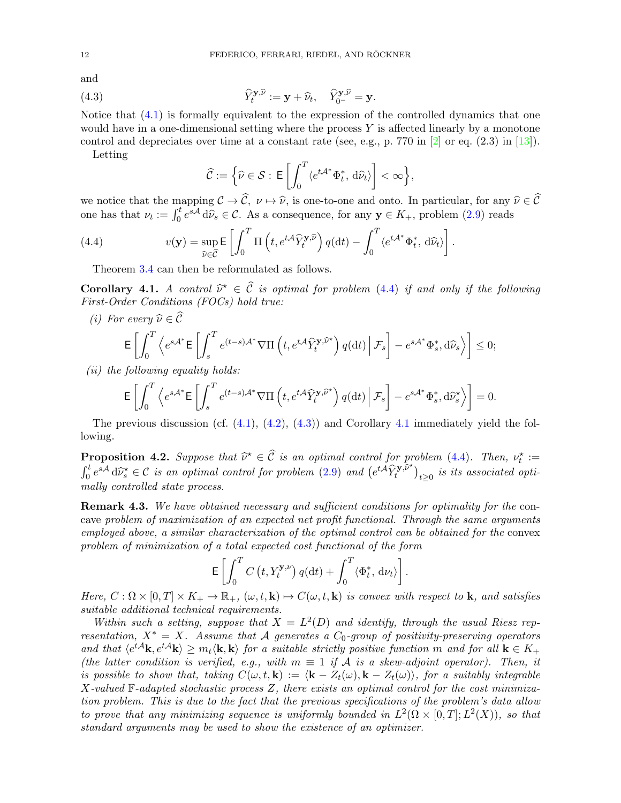and

(4.3) 
$$
\widehat{Y}_t^{\mathbf{y}, \widehat{\nu}} := \mathbf{y} + \widehat{\nu}_t, \quad \widehat{Y}_{0^-}^{\mathbf{y}, \widehat{\nu}} = \mathbf{y}.
$$

Notice that [\(4.1\)](#page-10-1) is formally equivalent to the expression of the controlled dynamics that one would have in a one-dimensional setting where the process  $Y$  is affected linearly by a monotone control and depreciates over time at a constant rate (see, e.g., p. 770 in  $\boxed{2}$  or eq.  $(2.3)$  in  $\boxed{13}$ ).

Letting

<span id="page-11-1"></span>
$$
\widehat{\mathcal{C}} := \Big\{\widehat{\nu} \in \mathcal{S} : \, \mathsf{E}\left[\int_0^T \langle e^{t\mathcal{A}^*} \Phi_t^*, \, \mathrm{d}\widehat{\nu}_t \rangle \right] < \infty \Big\},
$$

we notice that the mapping  $\mathcal{C} \to \widehat{\mathcal{C}}$ ,  $\nu \mapsto \widehat{\nu}$ , is one-to-one and onto. In particular, for any  $\widehat{\nu} \in \widehat{\mathcal{C}}$ one has that  $\nu_t := \int_0^t e^{s\mathcal{A}} d\tilde{\nu}_s \in \mathcal{C}$ . As a consequence, for any  $\mathbf{y} \in K_+$ , problem [\(2.9\)](#page-6-3) reads

(4.4) 
$$
v(\mathbf{y}) = \sup_{\hat{\nu} \in \hat{\mathcal{C}}} \mathsf{E} \left[ \int_0^T \Pi \left( t, e^{t\mathcal{A}} \hat{Y}_t^{\mathbf{y}, \hat{\nu}} \right) q(\mathrm{d}t) - \int_0^T \langle e^{t\mathcal{A}^*} \Phi_t^*, \, \mathrm{d}\hat{\nu}_t \rangle \right].
$$

<span id="page-11-0"></span>Theorem [3.4](#page-7-1) can then be reformulated as follows.

<span id="page-11-2"></span>**Corollary 4.1.** A control  $\hat{\nu}^* \in \hat{C}$  is optimal for problem [\(4.4\)](#page-11-0) if and only if the following<br>First Order Conditions (FOCs) hold true: First-Order Conditions (FOCs) hold true:

(i) For every  $\widehat{\nu} \in \widehat{\mathcal{C}}$ 

$$
\mathsf{E}\left[\int_0^T \left\langle e^{s\mathcal{A}^*}\mathsf{E}\left[\int_s^T e^{(t-s)\mathcal{A}^*}\nabla\Pi\left(t, e^{t\mathcal{A}}\hat{Y}_t^{\mathbf{y},\widehat{\nu}^*}\right)q(\mathrm{d}t)\Big|\mathcal{F}_s\right]-e^{s\mathcal{A}^*}\Phi_s^*,\mathrm{d}\widehat{\nu}_s\right\rangle\right]\leq 0;
$$

(*ii*) the following equality holds:

$$
\mathsf{E}\left[\int_0^T \left\langle e^{s\mathcal{A}^*}\mathsf{E}\left[\int_s^T e^{(t-s)\mathcal{A}^*}\nabla\Pi\left(t,e^{t\mathcal{A}}\hat{Y}_t^{\mathbf{y},\widehat{\nu}^*}\right)q(\mathrm{d} t)\,\Big|\,\mathcal{F}_s\right]-e^{s\mathcal{A}^*}\Phi_s^*,\mathrm{d} \widehat{\nu}_s^*\right\rangle\right]=0.
$$

The previous discussion (cf.  $(4.1)$ ,  $(4.2)$ ,  $(4.3)$ ) and Corollary [4.1](#page-11-2) immediately yield the following.

<span id="page-11-3"></span>**Proposition 4.2.** Suppose that  $\widehat{\nu}^* \in \widehat{C}$  is an optimal control for problem [\(4.4\)](#page-11-0). Then,  $\nu_t^* :=$ <br> $\int_0^t sA \, \widehat{\nu}^* \in \widehat{C}$  $\int_0^t e^{s\mathcal{A}} d\hat{\nu}_s^{\star} \in \mathcal{C}$  is an optimal control for problem [\(2.9\)](#page-6-3) and  $(e^{t\mathcal{A}} \hat{Y}_t^{\mathbf{y}, \hat{\nu}^{\star}})$  $\left( \begin{smallmatrix} \mathbf{y}, \nu^* \ t^* \end{smallmatrix} \right)_{t \geq 0}$  is its associated optimally controlled state process.

**Remark 4.3.** We have obtained necessary and sufficient conditions for optimality for the concave problem of maximization of an expected net profit functional. Through the same arguments employed above, a similar characterization of the optimal control can be obtained for the convex problem of minimization of a total expected cost functional of the form

$$
\mathsf{E}\left[\int_0^T C\left(t, Y_t^{\mathbf{y},\nu}\right)q(\mathrm{d}t)+\int_0^T \langle \Phi_t^*, \, \mathrm{d}\nu_t\rangle\right].
$$

Here,  $C : \Omega \times [0,T] \times K_+ \to \mathbb{R}_+$ ,  $(\omega, t, \mathbf{k}) \mapsto C(\omega, t, \mathbf{k})$  is convex with respect to **k**, and satisfies suitable additional technical requirements.

Within such a setting, suppose that  $X = L^2(D)$  and identify, through the usual Riesz representation,  $X^* = X$ . Assume that A generates a  $C_0$ -group of positivity-preserving operators and that  $\langle e^{tA} \mathbf{k}, e^{tA} \mathbf{k} \rangle \geq m_t \langle \mathbf{k}, \mathbf{k} \rangle$  for a suitable strictly positive function m and for all  $\mathbf{k} \in K_+$ (the latter condition is verified, e.g., with  $m \equiv 1$  if  $A$  is a skew-adjoint operator). Then, it is possible to show that, taking  $C(\omega, t, \mathbf{k}) := \langle \mathbf{k} - Z_t(\omega), \mathbf{k} - Z_t(\omega) \rangle$ , for a suitably integrable X-valued  $\mathbb{F}\text{-}adapted$  stochastic process Z, there exists an optimal control for the cost minimization problem. This is due to the fact that the previous specifications of the problem's data allow to prove that any minimizing sequence is uniformly bounded in  $L^2(\Omega \times [0,T]; L^2(X))$ , so that standard arguments may be used to show the existence of an optimizer.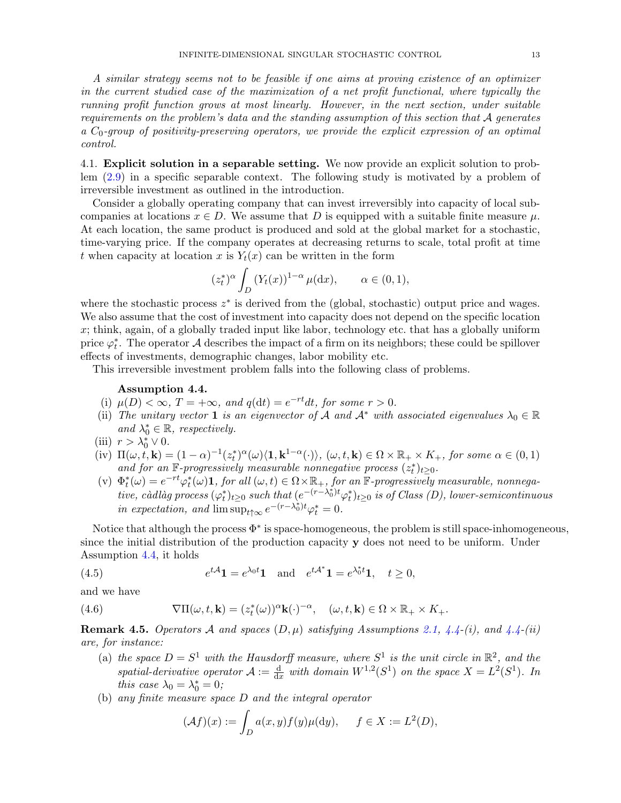A similar strategy seems not to be feasible if one aims at proving existence of an optimizer in the current studied case of the maximization of a net profit functional, where typically the running profit function grows at most linearly. However, in the next section, under suitable requirements on the problem's data and the standing assumption of this section that  $A$  generates a  $C_0$ -group of positivity-preserving operators, we provide the explicit expression of an optimal control.

<span id="page-12-0"></span>4.1. Explicit solution in a separable setting. We now provide an explicit solution to problem [\(2.9\)](#page-6-3) in a specific separable context. The following study is motivated by a problem of irreversible investment as outlined in the introduction.

Consider a globally operating company that can invest irreversibly into capacity of local subcompanies at locations  $x \in D$ . We assume that D is equipped with a suitable finite measure  $\mu$ . At each location, the same product is produced and sold at the global market for a stochastic, time-varying price. If the company operates at decreasing returns to scale, total profit at time t when capacity at location x is  $Y_t(x)$  can be written in the form

$$
(z_t^*)^{\alpha} \int_D (Y_t(x))^{1-\alpha} \mu(\mathrm{d}x), \qquad \alpha \in (0,1),
$$

where the stochastic process  $z^*$  is derived from the (global, stochastic) output price and wages. We also assume that the cost of investment into capacity does not depend on the specific location  $x$ ; think, again, of a globally traded input like labor, technology etc. that has a globally uniform price  $\varphi_t^*$ . The operator A describes the impact of a firm on its neighbors; these could be spillover effects of investments, demographic changes, labor mobility etc.

This irreversible investment problem falls into the following class of problems.

### <span id="page-12-2"></span>Assumption 4.4.

- (i)  $\mu(D) < \infty$ ,  $T = +\infty$ , and  $q(dt) = e^{-rt}dt$ , for some  $r > 0$ .
- (ii) The unitary vector 1 is an eigenvector of A and  $A^*$  with associated eigenvalues  $\lambda_0 \in \mathbb{R}$ and  $\lambda_0^* \in \mathbb{R}$ , respectively.
- (iii)  $r > \lambda_0^* \vee 0$ .
- (iv)  $\Pi(\omega, t, \mathbf{k}) = (1 \alpha)^{-1} (z_t^*)^{\alpha}(\omega) \langle \mathbf{1}, \mathbf{k}^{1-\alpha}(\cdot) \rangle$ ,  $(\omega, t, \mathbf{k}) \in \Omega \times \mathbb{R}_+ \times K_+$ , for some  $\alpha \in (0, 1)$ and for an  $\mathbb{F}$ -progressively measurable nonnegative process  $(z_t^*)_{t\geq0}$ .
- (v)  $\Phi_t^*(\omega) = e^{-rt} \varphi_t^*(\omega)$ **1**, for all  $(\omega, t) \in \Omega \times \mathbb{R}_+$ , for an  $\mathbb{F}$ -progressively measurable, nonnega $tive, c\`{a}dl\`{a}g\>process (\varphi_t^*)_{t\geq 0} \> such \ that \ (e^{-(r-\lambda_0^*)t}\varphi_t^*)_{t\geq 0} \> is \ of \ Class\ (D), \ lower\-semicontinuous$ in expectation, and  $\lim_{t \to \infty} e^{-(r-\lambda_0^*)t} \varphi_t^* = 0$ .

Notice that although the process  $\Phi^*$  is space-homogeneous, the problem is still space-inhomogeneous, since the initial distribution of the production capacity y does not need to be uniform. Under Assumption [4.4,](#page-12-2) it holds

<span id="page-12-3"></span>(4.5) 
$$
e^{t\mathcal{A}}\mathbf{1} = e^{\lambda_0 t}\mathbf{1} \text{ and } e^{t\mathcal{A}^*}\mathbf{1} = e^{\lambda_0^* t}\mathbf{1}, \quad t \ge 0,
$$

and we have

(4.6) 
$$
\nabla \Pi(\omega, t, \mathbf{k}) = (z_t^*(\omega))^{\alpha} \mathbf{k}(\cdot)^{-\alpha}, \quad (\omega, t, \mathbf{k}) \in \Omega \times \mathbb{R}_+ \times K_+.
$$

<span id="page-12-1"></span>**Remark 4.5.** Operators A and spaces  $(D, \mu)$  satisfying Assumptions [2.1,](#page-4-3) [4.4-](#page-12-2)(i), and 4.4-(ii) are, for instance:

- <span id="page-12-4"></span>(a) the space  $D = S^1$  with the Hausdorff measure, where  $S^1$  is the unit circle in  $\mathbb{R}^2$ , and the spatial-derivative operator  $A := \frac{d}{dx}$  with domain  $W^{1,2}(S^1)$  on the space  $X = L^2(S^1)$ . In this case  $\lambda_0 = \lambda_0^* = 0$ ;
- (b) any finite measure space D and the integral operator

$$
(\mathcal{A}f)(x) := \int_D a(x, y) f(y) \mu(\mathrm{d}y), \quad f \in X := L^2(D),
$$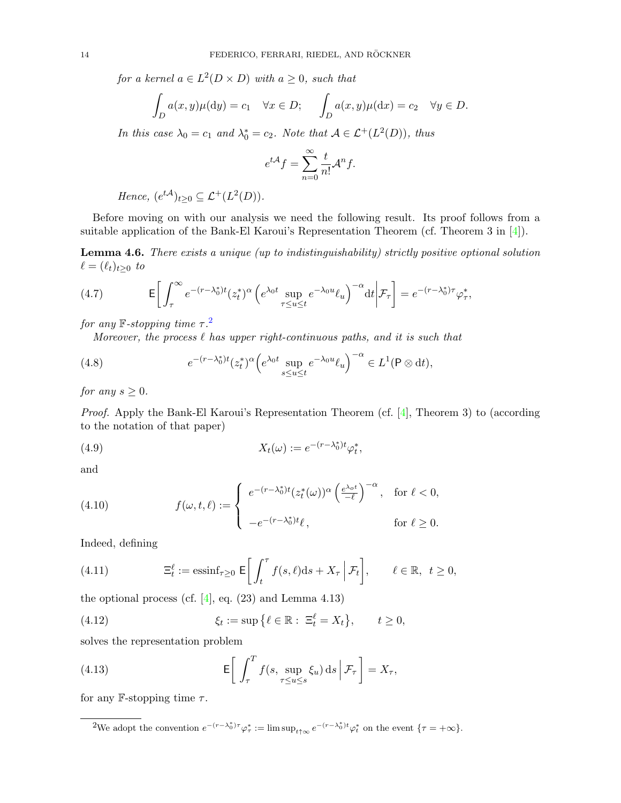for a kernel  $a \in L^2(D \times D)$  with  $a \geq 0$ , such that

$$
\int_D a(x,y)\mu(\mathrm{d}y) = c_1 \quad \forall x \in D; \quad \int_D a(x,y)\mu(\mathrm{d}x) = c_2 \quad \forall y \in D.
$$

In this case  $\lambda_0 = c_1$  and  $\lambda_0^* = c_2$ . Note that  $A \in \mathcal{L}^+(L^2(D))$ , thus

$$
e^{t\mathcal{A}}f = \sum_{n=0}^{\infty} \frac{t}{n!} \mathcal{A}^n f.
$$

Hence,  $(e^{t\mathcal{A}})_{t\geq0}\subseteq \mathcal{L}^+(L^2(D)).$ 

Before moving on with our analysis we need the following result. Its proof follows from a suitable application of the Bank-El Karoui's Representation Theorem (cf. Theorem 3 in [\[4\]](#page-19-6)).

<span id="page-13-4"></span>Lemma 4.6. There exists a unique (up to indistinguishability) strictly positive optional solution  $\ell = (\ell_t)_{t\geq 0}$  to

<span id="page-13-1"></span>(4.7) 
$$
\mathsf{E}\bigg[\int_{\tau}^{\infty}e^{-(r-\lambda_0^*)t}(z_t^*)^{\alpha}\left(e^{\lambda_0t}\sup_{\tau\leq u\leq t}e^{-\lambda_0u}\ell_u\right)^{-\alpha}\mathrm{d}t\bigg|\mathcal{F}_{\tau}\bigg]=e^{-(r-\lambda_0^*)\tau}\varphi_{\tau}^*,
$$

for any  $\mathbb{F}\text{-stopping time }\tau.$ <sup>[2](#page-13-0)</sup>

Moreover, the process  $\ell$  has upper right-continuous paths, and it is such that

(4.8) 
$$
e^{-(r-\lambda_0^*)t}(z_t^*)^{\alpha}\Big(e^{\lambda_0t}\sup_{s\leq u\leq t}e^{-\lambda_0u}\ell_u\Big)^{-\alpha}\in L^1(\mathsf{P}\otimes\mathrm{d}t),
$$

for any  $s \geq 0$ .

Proof. Apply the Bank-El Karoui's Representation Theorem (cf. [\[4\]](#page-19-6), Theorem 3) to (according to the notation of that paper)

(4.9) 
$$
X_t(\omega) := e^{-(r-\lambda_0^*)t} \varphi_t^*,
$$

and

<span id="page-13-2"></span>(4.10) 
$$
f(\omega, t, \ell) := \begin{cases} e^{-(r-\lambda_0^*)t} (z_t^*(\omega))^{\alpha} \left(\frac{e^{\lambda_0 t}}{-\ell}\right)^{-\alpha}, & \text{for } \ell < 0, \\ -e^{-(r-\lambda_0^*)t} \ell, & \text{for } \ell \ge 0. \end{cases}
$$

Indeed, defining

(4.11) 
$$
\Xi_t^{\ell} := \operatorname{essinf}_{\tau \geq 0} \mathsf{E}\bigg[\int_t^{\tau} f(s,\ell) \mathrm{d} s + X_{\tau} \, \Big| \, \mathcal{F}_t\bigg], \qquad \ell \in \mathbb{R}, \ t \geq 0,
$$

the optional process (cf.  $[4]$ , eq. (23) and Lemma 4.13)

(4.12) 
$$
\xi_t := \sup \left\{ \ell \in \mathbb{R} : \ \Xi_t^{\ell} = X_t \right\}, \qquad t \geq 0,
$$

solves the representation problem

<span id="page-13-3"></span>(4.13) 
$$
\mathsf{E}\bigg[\int_{\tau}^{T} f(s, \sup_{\tau \leq u \leq s} \xi_u) \, \mathrm{d} s \, \Big| \, \mathcal{F}_{\tau}\bigg] = X_{\tau},
$$

for any F-stopping time  $\tau$ .

<span id="page-13-0"></span><sup>&</sup>lt;sup>2</sup>We adopt the convention  $e^{-(r-\lambda_0^*)\tau}\varphi_{\tau}^* := \limsup_{t \uparrow \infty} e^{-(r-\lambda_0^*)t}\varphi_t^*$  on the event  $\{\tau = +\infty\}.$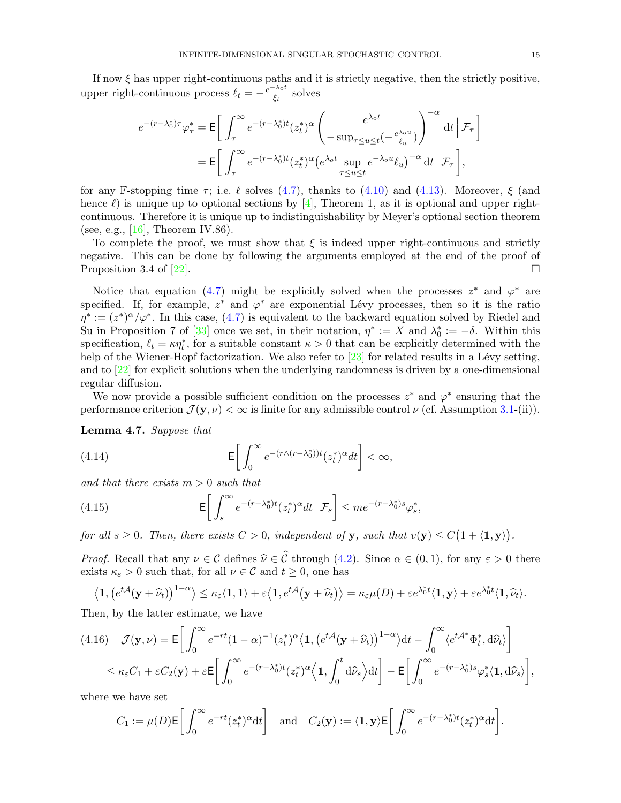If now  $\xi$  has upper right-continuous paths and it is strictly negative, then the strictly positive, upper right-continuous process  $\ell_t = -\frac{e^{-\lambda_0 t}}{\xi_t}$  $\frac{\lambda_0 t}{\xi_t}$  solves

$$
e^{-(r-\lambda_0^*)\tau}\varphi_{\tau}^* = \mathsf{E}\bigg[\int_{\tau}^{\infty}e^{-(r-\lambda_0^*)t}(z_t^*)^{\alpha}\left(\frac{e^{\lambda_0 t}}{-\sup_{\tau\leq u\leq t}(-\frac{e^{\lambda_0 u}}{\ell_u})}\right)^{-\alpha}\,\mathrm{d} t\,\Big|\,\mathcal{F}_{\tau}\bigg]\\ = \mathsf{E}\bigg[\int_{\tau}^{\infty}e^{-(r-\lambda_0^*)t}(z_t^*)^{\alpha}\big(e^{\lambda_0 t}\sup_{\tau\leq u\leq t}e^{-\lambda_0 u}\ell_u\big)^{-\alpha}\,\mathrm{d} t\,\Big|\,\mathcal{F}_{\tau}\bigg],
$$

for any F-stopping time  $\tau$ ; i.e.  $\ell$  solves [\(4.7\)](#page-13-1), thanks to [\(4.10\)](#page-13-2) and [\(4.13\)](#page-13-3). Moreover,  $\xi$  (and hence  $\ell$ ) is unique up to optional sections by [\[4\]](#page-19-6), Theorem 1, as it is optional and upper rightcontinuous. Therefore it is unique up to indistinguishability by Meyer's optional section theorem (see, e.g., [\[16\]](#page-20-15), Theorem IV.86).

To complete the proof, we must show that  $\xi$  is indeed upper right-continuous and strictly negative. This can be done by following the arguments employed at the end of the proof of Proposition 3.4 of [\[22\]](#page-20-17).

Notice that equation [\(4.7\)](#page-13-1) might be explicitly solved when the processes  $z^*$  and  $\varphi^*$  are specified. If, for example,  $z^*$  and  $\varphi^*$  are exponential Lévy processes, then so it is the ratio  $\eta^* := (z^*)^{\alpha}/\varphi^*$ . In this case, [\(4.7\)](#page-13-1) is equivalent to the backward equation solved by Riedel and Su in Proposition 7 of [\[33\]](#page-20-18) once we set, in their notation,  $\eta^* := X$  and  $\lambda_0^* := -\delta$ . Within this specification,  $\ell_t = \kappa \eta_t^*$ , for a suitable constant  $\kappa > 0$  that can be explicitly determined with the help of the Wiener-Hopf factorization. We also refer to  $\left[23\right]$  for related results in a Lévy setting, and to [\[22\]](#page-20-17) for explicit solutions when the underlying randomness is driven by a one-dimensional regular diffusion.

We now provide a possible sufficient condition on the processes  $z^*$  and  $\varphi^*$  ensuring that the performance criterion  $\mathcal{J}(\mathbf{y}, \nu) < \infty$  is finite for any admissible control  $\nu$  (cf. Assumption [3.1-](#page-0-2)(ii)).

<span id="page-14-0"></span>Lemma 4.7. Suppose that

<span id="page-14-1"></span>(4.14) 
$$
\mathsf{E}\bigg[\int_0^\infty e^{-(r\wedge(r-\lambda_0^*))t}(z_t^*)^{\alpha}dt\bigg]<\infty,
$$

and that there exists  $m > 0$  such that

<span id="page-14-3"></span>(4.15) 
$$
\mathsf{E}\bigg[\int_{s}^{\infty}e^{-(r-\lambda_{0}^{*})t}(z_{t}^{*})^{\alpha}dt\,\bigg|\,\mathcal{F}_{s}\bigg]\leq me^{-(r-\lambda_{0}^{*})s}\varphi_{s}^{*},
$$

for all  $s \geq 0$ . Then, there exists  $C > 0$ , independent of y, such that  $v(y) \leq C(1 + \langle 1, y \rangle)$ .

*Proof.* Recall that any  $\nu \in \mathcal{C}$  defines  $\hat{\nu} \in \hat{\mathcal{C}}$  through [\(4.2\)](#page-10-2). Since  $\alpha \in (0, 1)$ , for any  $\varepsilon > 0$  there exists  $\kappa_{\varepsilon} > 0$  such that, for all  $\nu \in \mathcal{C}$  and  $t \geq 0$ , one has

$$
\langle \mathbf{1}, \left( e^{t\mathcal{A}}(\mathbf{y} + \widehat{\nu}_t) \right)^{1-\alpha} \rangle \leq \kappa_{\varepsilon} \langle \mathbf{1}, \mathbf{1} \rangle + \varepsilon \langle \mathbf{1}, e^{t\mathcal{A}}(\mathbf{y} + \widehat{\nu}_t) \rangle = \kappa_{\varepsilon} \mu(D) + \varepsilon e^{\lambda_0^* t} \langle \mathbf{1}, \mathbf{y} \rangle + \varepsilon e^{\lambda_0^* t} \langle \mathbf{1}, \widehat{\nu}_t \rangle.
$$

Then, by the latter estimate, we have

<span id="page-14-2"></span>
$$
(4.16) \quad \mathcal{J}(\mathbf{y},\nu) = \mathsf{E}\bigg[\int_0^\infty e^{-rt}(1-\alpha)^{-1}(z_t^*)^{\alpha}\langle\mathbf{1},\left(e^{t\mathcal{A}}(\mathbf{y}+\widehat{\nu}_t)\right)^{1-\alpha}\rangle\mathrm{d}t - \int_0^\infty \langle e^{t\mathcal{A}^*}\Phi_t^*,\mathrm{d}\widehat{\nu}_t\rangle\bigg]
$$
  

$$
\leq \kappa_\varepsilon C_1 + \varepsilon C_2(\mathbf{y}) + \varepsilon \mathsf{E}\bigg[\int_0^\infty e^{-(r-\lambda_0^*)t}(z_t^*)^{\alpha}\langle\mathbf{1},\int_0^t \mathrm{d}\widehat{\nu}_s\rangle\mathrm{d}t\bigg] - \mathsf{E}\bigg[\int_0^\infty e^{-(r-\lambda_0^*)s}\varphi_s^*(\mathbf{1},\mathrm{d}\widehat{\nu}_s)\bigg],
$$

where we have set

$$
C_1 := \mu(D) \mathsf{E}\bigg[\int_0^\infty e^{-rt}(z_t^*)^\alpha \mathrm{d}t\bigg] \quad \text{and} \quad C_2(\mathbf{y}) := \langle \mathbf{1}, \mathbf{y} \rangle \mathsf{E}\bigg[\int_0^\infty e^{-(r-\lambda_0^*)t}(z_t^*)^\alpha \mathrm{d}t\bigg].
$$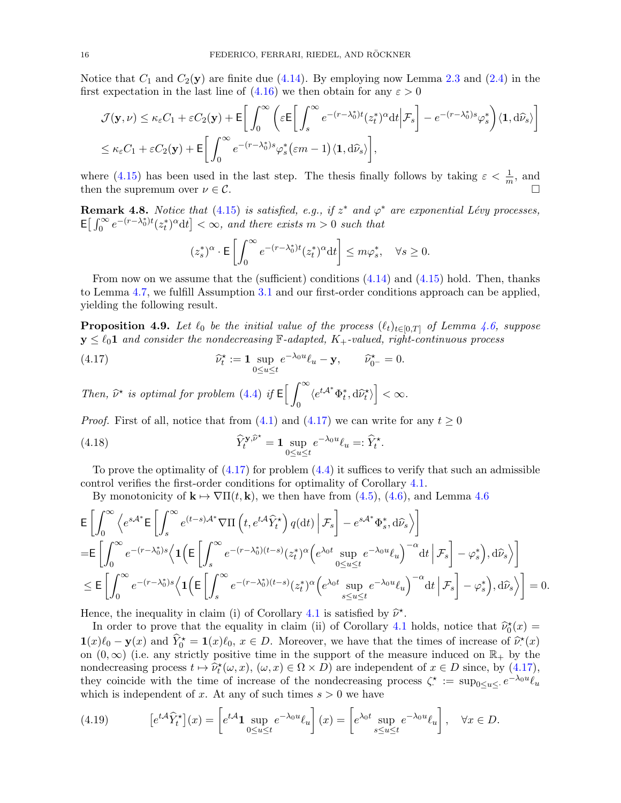Notice that  $C_1$  and  $C_2(y)$  are finite due [\(4.14\)](#page-14-1). By employing now Lemma [2.3](#page-5-2) and [\(2.4\)](#page-5-3) in the first expectation in the last line of  $(4.16)$  we then obtain for any  $\varepsilon > 0$ 

$$
\mathcal{J}(\mathbf{y},\nu) \leq \kappa_{\varepsilon}C_{1} + \varepsilon C_{2}(\mathbf{y}) + \mathsf{E}\bigg[\int_{0}^{\infty} \bigg(\varepsilon \mathsf{E}\bigg[\int_{s}^{\infty} e^{-(r-\lambda_{0}^{*})t}(z_{t}^{*})^{\alpha}dt\bigg|\mathcal{F}_{s}\bigg] - e^{-(r-\lambda_{0}^{*})s}\varphi_{s}^{*}\bigg\rangle\langle\mathbf{1},d\widehat{\nu}_{s}\rangle\bigg]
$$
  

$$
\leq \kappa_{\varepsilon}C_{1} + \varepsilon C_{2}(\mathbf{y}) + \mathsf{E}\bigg[\int_{0}^{\infty} e^{-(r-\lambda_{0}^{*})s}\varphi_{s}^{*}(\varepsilon m-1)\langle\mathbf{1},d\widehat{\nu}_{s}\rangle\bigg],
$$

where [\(4.15\)](#page-14-3) has been used in the last step. The thesis finally follows by taking  $\varepsilon < \frac{1}{m}$ , and then the supremum over  $\nu \in \mathcal{C}$ .

**Remark 4.8.** Notice that [\(4.15\)](#page-14-3) is satisfied, e.g., if  $z^*$  and  $\varphi^*$  are exponential Lévy processes,  $\mathsf{E}\big[\int_0^\infty e^{-(r-\lambda_0^*)t}(z_t^*)^\alpha \mathrm{d}t\big] < \infty$ , and there exists  $m > 0$  such that

<span id="page-15-0"></span>
$$
(z_s^*)^{\alpha} \cdot \mathsf{E}\left[\int_0^{\infty} e^{-(r-\lambda_0^*)t} (z_t^*)^{\alpha} \mathrm{d}t\right] \le m\varphi_s^*, \quad \forall s \ge 0.
$$

From now on we assume that the (sufficient) conditions  $(4.14)$  and  $(4.15)$  hold. Then, thanks to Lemma [4.7,](#page-14-0) we fulfill Assumption [3.1](#page-0-2) and our first-order conditions approach can be applied, yielding the following result.

<span id="page-15-1"></span>**Proposition 4.9.** Let  $\ell_0$  be the initial value of the process  $(\ell_t)_{t\in[0,T]}$  of Lemma [4.6,](#page-13-4) suppose  $y \leq \ell_0 1$  and consider the nondecreasing F-adapted,  $K_+$ -valued, right-continuous process

(4.17) 
$$
\widehat{\nu}_t^{\star} := \mathbf{1} \sup_{0 \le u \le t} e^{-\lambda_0 u} \ell_u - \mathbf{y}, \qquad \widehat{\nu}_{0^{-}}^{\star} = 0.
$$

Then,  $\widehat{\nu}^*$  is optimal for problem [\(4.4\)](#page-11-0) if  $\mathsf{E}\left[\,\int_0^\infty\right]$ 0  $\langle e^{t\mathcal{A}^*}\Phi_t^*,\mathrm{d}\widehat{\nu}_t^{\star}\rangle\Big] < \infty.$ 

*Proof.* First of all, notice that from [\(4.1\)](#page-10-1) and [\(4.17\)](#page-15-0) we can write for any  $t \ge 0$ 

(4.18) 
$$
\widehat{Y}_t^{\mathbf{y}, \widehat{\nu}^\star} = \mathbf{1} \sup_{0 \le u \le t} e^{-\lambda_0 u} \ell_u =: \widehat{Y}_t^\star.
$$

To prove the optimality of  $(4.17)$  for problem  $(4.4)$  it suffices to verify that such an admissible control verifies the first-order conditions for optimality of Corollary [4.1.](#page-11-2)

By monotonicity of  $\mathbf{k} \mapsto \nabla \Pi(t, \mathbf{k})$ , we then have from [\(4.5\)](#page-12-3), [\(4.6\)](#page-12-4), and Lemma [4.6](#page-13-4)

$$
\mathsf{E}\left[\int_{0}^{\infty}\left\langle e^{s\mathcal{A}^{*}}\mathsf{E}\left[\int_{s}^{\infty}e^{(t-s)\mathcal{A}^{*}}\nabla\Pi\left(t,e^{t\mathcal{A}}\widehat{Y}_{t}^{*}\right)q(\mathrm{d}t)\Big|\mathcal{F}_{s}\right]-e^{s\mathcal{A}^{*}}\Phi_{s}^{*},\mathrm{d}\widehat{\nu}_{s}\right\rangle\right]
$$
\n
$$
=\mathsf{E}\left[\int_{0}^{\infty}e^{-(r-\lambda_{0}^{*})s}\left\langle\mathbf{1}\left(\mathsf{E}\left[\int_{s}^{\infty}e^{-(r-\lambda_{0}^{*})(t-s)}(z_{t}^{*})^{\alpha}\left(e^{\lambda_{0}t}\sup_{0\leq u\leq t}e^{-\lambda_{0}u}\ell_{u}\right)^{-\alpha}\mathrm{d}t\Big|\mathcal{F}_{s}\right]-\varphi_{s}^{*}\right),\mathrm{d}\widehat{\nu}_{s}\right\rangle\right]
$$
\n
$$
\leq\mathsf{E}\left[\int_{0}^{\infty}e^{-(r-\lambda_{0}^{*})s}\left\langle\mathbf{1}\left(\mathsf{E}\left[\int_{s}^{\infty}e^{-(r-\lambda_{0}^{*})(t-s)}(z_{t}^{*})^{\alpha}\left(e^{\lambda_{0}t}\sup_{s\leq u\leq t}e^{-\lambda_{0}u}\ell_{u}\right)^{-\alpha}\mathrm{d}t\Big|\mathcal{F}_{s}\right]-\varphi_{s}^{*}\right),\mathrm{d}\widehat{\nu}_{s}\right\rangle\right]=0.
$$

Hence, the inequality in claim (i) of Corollary [4.1](#page-11-2) is satisfied by  $\tilde{\nu}^*$ .<br>In order to prove that the equality in claim (ii) of Corollary 4.1

In order to prove that the equality in claim (ii) of Corollary [4.1](#page-11-2) holds, notice that  $\hat{\nu}_0^*(x) =$  $\mathbf{1}(x)\ell_0 - \mathbf{y}(x)$  and  $\widehat{Y}_0^* = \mathbf{1}(x)\ell_0, x \in D$ . Moreover, we have that the times of increase of  $\widehat{\nu}_1^*(x)$ on  $(0, \infty)$  (i.e. any strictly positive time in the support of the measure induced on  $\mathbb{R}_+$  by the nondecreasing process  $t \mapsto \hat{\nu}_t^*(\omega, x)$ ,  $(\omega, x) \in \Omega \times D$ ) are independent of  $x \in D$  since, by [\(4.17\)](#page-15-0), they coincide with the time of increase of the nondecreasing process  $\zeta^* := \sup_{0 \le u \le v} e^{-\lambda_0 u} \ell_u$ which is independent of x. At any of such times  $s > 0$  we have

(4.19) 
$$
\left[e^{t\mathcal{A}}\widehat{Y}_t^{\star}\right](x) = \left[e^{t\mathcal{A}}\mathbf{1}\sup_{0\leq u\leq t}e^{-\lambda_0u}\ell_u\right](x) = \left[e^{\lambda_0t}\sup_{s\leq u\leq t}e^{-\lambda_0u}\ell_u\right], \quad \forall x \in D.
$$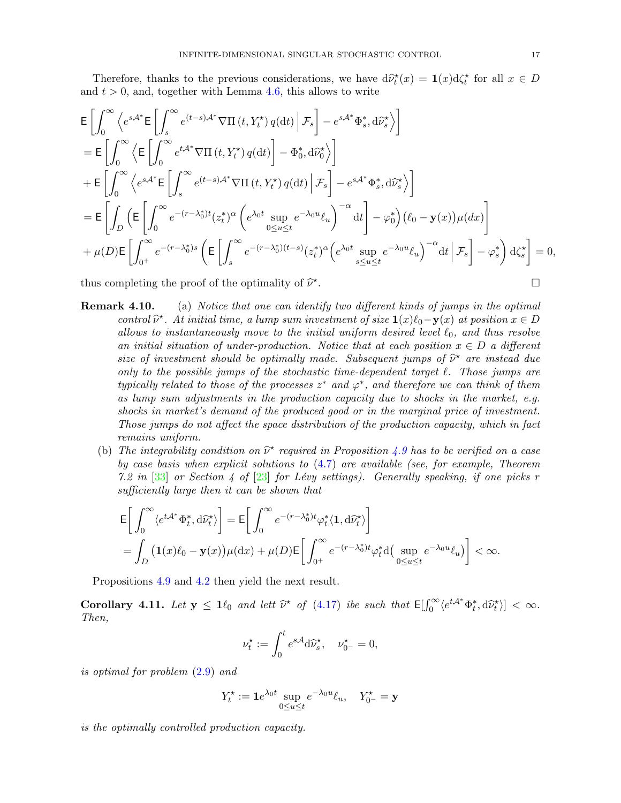Therefore, thanks to the previous considerations, we have  $d\hat{\nu}_t^*(x) = \mathbf{1}(x)d\zeta_t^*$  for all  $x \in D$ <br>d  $t > 0$  and together with Lemma 4.6 this allows to write and  $t > 0$ , and, together with Lemma [4.6,](#page-13-4) this allows to write

$$
\begin{split}\n& \mathsf{E}\left[\int_{0}^{\infty}\left\langle e^{s\mathcal{A}^{*}}\mathsf{E}\left[\int_{s}^{\infty}e^{(t-s)\mathcal{A}^{*}}\nabla\Pi\left(t,Y_{t}^{*}\right)q(\mathrm{d}t)\Big|\mathcal{F}_{s}\right]-e^{s\mathcal{A}^{*}}\Phi_{s}^{*},\mathrm{d}\widehat{\nu}_{s}^{*}\right\rangle\right] \\
& = \mathsf{E}\left[\int_{0}^{\infty}\left\langle\mathsf{E}\left[\int_{0}^{\infty}e^{t\mathcal{A}^{*}}\nabla\Pi\left(t,Y_{t}^{*}\right)q(\mathrm{d}t)\right]-\Phi_{0}^{*},\mathrm{d}\widehat{\nu}_{0}^{*}\right\rangle\right] \\
& + \mathsf{E}\left[\int_{0}^{\infty}\left\langle e^{s\mathcal{A}^{*}}\mathsf{E}\left[\int_{s}^{\infty}e^{(t-s)\mathcal{A}^{*}}\nabla\Pi\left(t,Y_{t}^{*}\right)q(\mathrm{d}t)\Big|\mathcal{F}_{s}\right]-e^{s\mathcal{A}^{*}}\Phi_{s}^{*},\mathrm{d}\widehat{\nu}_{s}^{*}\right\rangle\right] \\
& = \mathsf{E}\left[\int_{D}\left(\mathsf{E}\left[\int_{0}^{\infty}e^{-(r-\lambda_{0}^{*})t}(z_{t}^{*})^{\alpha}\left(e^{\lambda_{0}t}\sup_{0\leq u\leq t}e^{-\lambda_{0}u}\ell_{u}\right)^{-\alpha}\mathrm{d}t\right]-\varphi_{0}^{*}\right)\left(\ell_{0}-\mathbf{y}(x)\right)\mu(\mathrm{d}x)\right] \\
& + \mu(D)\mathsf{E}\left[\int_{0^{+}}^{\infty}e^{-(r-\lambda_{0}^{*})s}\left(\mathsf{E}\left[\int_{s}^{\infty}e^{-(r-\lambda_{0}^{*})(t-s)}(z_{t}^{*})^{\alpha}\left(e^{\lambda_{0}t}\sup_{s\leq u\leq t}e^{-\lambda_{0}u}\ell_{u}\right)^{-\alpha}\mathrm{d}t\Big|\mathcal{F}_{s}\right]-\varphi_{s}^{*}\right)\mathrm{d}\zeta_{s}^{*}\right]=0,\n\end{split}
$$

thus completing the proof of the optimality of  $\widehat{\nu}^{\star}$ . В последните последните последните последните последните последните последните последните последните последн<br>В последните последните последните последните последните последните последните последните последните последнит

- **Remark 4.10.** (a) Notice that one can identify two different kinds of jumps in the optimal control  $\hat{\nu}^*$ . At initial time, a lump sum investment of size  $\mathbf{1}(x)\ell_0 - \mathbf{y}(x)$  at position  $x \in D$ <br>cllosus to instantaneously move to the initial uniform desired level  $\ell_0$  and thus resolve allows to instantaneously move to the initial uniform desired level  $\ell_0$ , and thus resolve an initial situation of under-production. Notice that at each position  $x \in D$  a different size of investment should be optimally made. Subsequent jumps of  $\hat{\nu}^*$  are instead due<br>only to the possible jumps of the stochastic time-dependent terget  $\ell$ . Those jumps are only to the possible jumps of the stochastic time-dependent target  $\ell$ . Those jumps are typically related to those of the processes  $z^*$  and  $\varphi^*$ , and therefore we can think of them as lump sum adjustments in the production capacity due to shocks in the market, e.g. shocks in market's demand of the produced good or in the marginal price of investment. Those jumps do not affect the space distribution of the production capacity, which in fact remains uniform.
	- (b) The integrability condition on  $\hat{\nu}^*$  required in Proposition [4.9](#page-15-1) has to be verified on a case<br>by case basis when explicit solutions to (4.7) are evailable (see for example. Theorem by case basis when explicit solutions to [\(4.7\)](#page-13-1) are available (see, for example, Theorem 7.2 in  $\lceil 33 \rceil$  or Section 4 of  $\lceil 23 \rceil$  for Lévy settings). Generally speaking, if one picks r sufficiently large then it can be shown that

$$
\begin{split} &\mathsf{E}\bigg[\int_0^\infty \langle e^{t\mathcal{A}^*}\Phi_t^*,\mathrm{d} \widehat{\nu}^*_t\rangle\bigg] = \mathsf{E}\bigg[\int_0^\infty e^{-(r-\lambda_0^*)t}\varphi_t^*(\mathbf{1},\mathrm{d} \widehat{\nu}^*_t)\bigg] \\ &= \int_D \big(\mathbf{1}(x)\ell_0-\mathbf{y}(x)\big)\mu(\mathrm{d} x) + \mu(D)\mathsf{E}\bigg[\int_{0^+}^\infty e^{-(r-\lambda_0^*)t}\varphi_t^*\mathrm{d}\big(\sup_{0\le u\le t} e^{-\lambda_0 u}\ell_u\big)\bigg] < \infty. \end{split}
$$

Propositions [4.9](#page-15-1) and [4.2](#page-11-3) then yield the next result.

**Corollary 4.11.** Let  $y \le 1\ell_0$  and lett  $\widehat{\nu}^*$  of [\(4.17\)](#page-15-0) ibe such that  $\mathsf{E}[\int_0^\infty \langle e^{t\mathcal{A}^*} \Phi_t^*, d\widehat{\nu}_t^* \rangle] < \infty$ . Then,

$$
\nu_t^{\star} := \int_0^t e^{s\mathcal{A}} \mathrm{d}\widehat{\nu}_s^{\star}, \quad \nu_{0^-}^{\star} = 0,
$$

is optimal for problem [\(2.9\)](#page-6-3) and

$$
Y_t^{\star} := \mathbf{1}e^{\lambda_0 t} \sup_{0 \le u \le t} e^{-\lambda_0 u} \ell_u, \quad Y_{0^-}^{\star} = \mathbf{y}
$$

is the optimally controlled production capacity.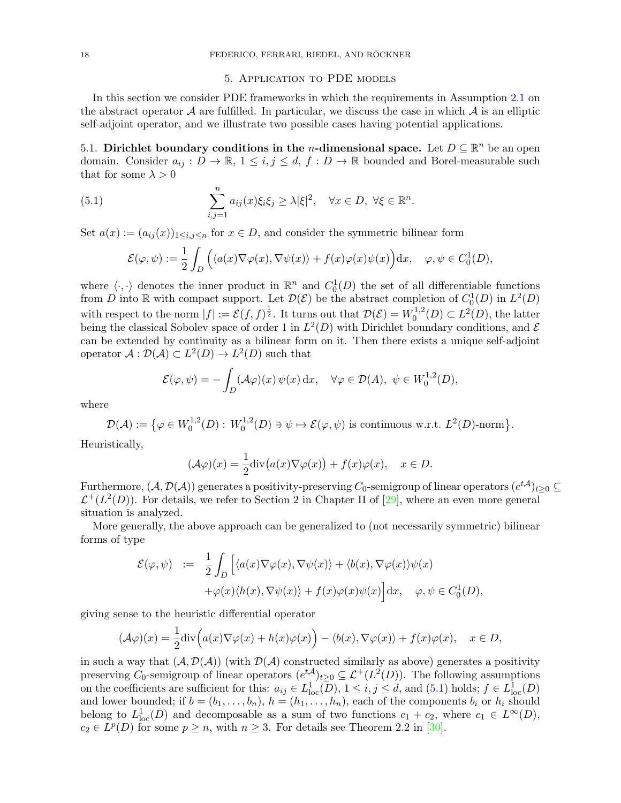## 5. Application to PDE models

<span id="page-17-0"></span>In this section we consider PDE frameworks in which the requirements in Assumption [2.1](#page-4-3) on the abstract operator  $\mathcal A$  are fulfilled. In particular, we discuss the case in which  $\mathcal A$  is an elliptic self-adjoint operator, and we illustrate two possible cases having potential applications.

<span id="page-17-2"></span>5.1. Dirichlet boundary conditions in the *n*-dimensional space. Let  $D \subseteq \mathbb{R}^n$  be an open domain. Consider  $a_{ij}: D \to \mathbb{R}, 1 \le i, j \le d, f: D \to \mathbb{R}$  bounded and Borel-measurable such that for some  $\lambda > 0$ 

(5.1) 
$$
\sum_{i,j=1}^{n} a_{ij}(x)\xi_i\xi_j \geq \lambda |\xi|^2, \quad \forall x \in D, \ \forall \xi \in \mathbb{R}^n.
$$

Set  $a(x) := (a_{ij}(x))_{1 \le i,j \le n}$  for  $x \in D$ , and consider the symmetric bilinear form

<span id="page-17-1"></span>
$$
\mathcal{E}(\varphi, \psi) := \frac{1}{2} \int_D \Big( \langle a(x) \nabla \varphi(x), \nabla \psi(x) \rangle + f(x) \varphi(x) \psi(x) \Big) dx, \quad \varphi, \psi \in C_0^1(D),
$$

where  $\langle \cdot, \cdot \rangle$  denotes the inner product in  $\mathbb{R}^n$  and  $C_0^1(D)$  the set of all differentiable functions from D into R with compact support. Let  $\mathcal{D}(\mathcal{E})$  be the abstract completion of  $C_0^1(D)$  in  $L^2(D)$ with respect to the norm  $|f| := \mathcal{E}(f, f)^{\frac{1}{2}}$ . It turns out that  $\mathcal{D}(\mathcal{E}) = W_0^{1,2}$  $L^{1,2}(D) \subset L^2(D)$ , the latter being the classical Sobolev space of order 1 in  $L^2(D)$  with Dirichlet boundary conditions, and  $\mathcal E$ can be extended by continuity as a bilinear form on it. Then there exists a unique self-adjoint operator  $\mathcal{A}: \mathcal{D}(\mathcal{A}) \subset L^2(D) \to L^2(D)$  such that

$$
\mathcal{E}(\varphi, \psi) = -\int_D (\mathcal{A}\varphi)(x) \psi(x) dx, \quad \forall \varphi \in \mathcal{D}(A), \ \psi \in W_0^{1,2}(D),
$$

where

$$
\mathcal{D}(\mathcal{A}) := \{ \varphi \in W_0^{1,2}(D) : W_0^{1,2}(D) \ni \psi \mapsto \mathcal{E}(\varphi, \psi) \text{ is continuous w.r.t. } L^2(D)\text{-norm} \}.
$$

Heuristically,

$$
(\mathcal{A}\varphi)(x) = \frac{1}{2}\mathrm{div}\big(a(x)\nabla\varphi(x)\big) + f(x)\varphi(x), \quad x \in D.
$$

Furthermore,  $(\mathcal{A},\mathcal{D}(\mathcal{A}))$  generates a positivity-preserving  $C_0$ -semigroup of linear operators  $(e^{t\mathcal{A}})_{t\geq 0}\subseteq$  $\mathcal{L}^+(L^2(D))$ . For details, we refer to Section 2 in Chapter II of [\[29\]](#page-20-19), where an even more general situation is analyzed.

More generally, the above approach can be generalized to (not necessarily symmetric) bilinear forms of type

$$
\mathcal{E}(\varphi, \psi) := \frac{1}{2} \int_D \left[ \langle a(x) \nabla \varphi(x), \nabla \psi(x) \rangle + \langle b(x), \nabla \varphi(x) \rangle \psi(x) + \varphi(x) \langle h(x), \nabla \psi(x) \rangle + f(x) \varphi(x) \psi(x) \right] dx, \quad \varphi, \psi \in C_0^1(D),
$$

giving sense to the heuristic differential operator

$$
(\mathcal{A}\varphi)(x) = \frac{1}{2}\mathrm{div}\Big(a(x)\nabla\varphi(x) + h(x)\varphi(x)\Big) - \langle b(x), \nabla\varphi(x)\rangle + f(x)\varphi(x), \quad x \in D,
$$

in such a way that  $(A, \mathcal{D}(A))$  (with  $\mathcal{D}(A)$  constructed similarly as above) generates a positivity preserving  $C_0$ -semigroup of linear operators  $(e^{t\mathcal{A}})_{t\geq0}\subseteq \mathcal{L}^+(L^2(D))$ . The following assumptions on the coefficients are sufficient for this:  $a_{ij} \in L^1_{loc}(\overline{D}), 1 \le i, j \le d$ , and  $(5.1)$  holds;  $f \in L^1_{loc}(D)$ and lower bounded; if  $b = (b_1, \ldots, b_n)$ ,  $h = (h_1, \ldots, h_n)$ , each of the components  $b_i$  or  $h_i$  should belong to  $L^1_{loc}(D)$  and decomposable as a sum of two functions  $c_1 + c_2$ , where  $c_1 \in L^{\infty}(D)$ ,  $c_2 \in L^p(D)$  for some  $p \geq n$ , with  $n \geq 3$ . For details see Theorem 2.2 in [\[30\]](#page-20-20).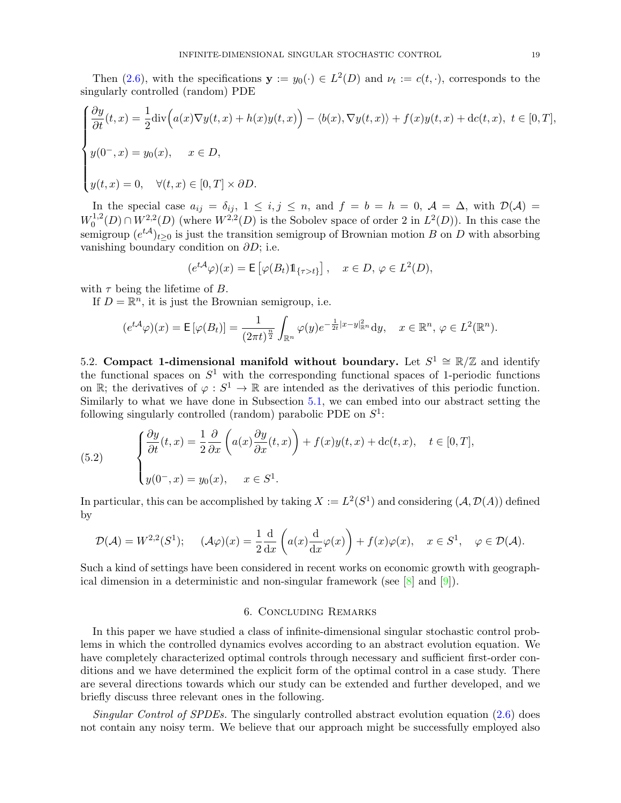Then [\(2.6\)](#page-6-2), with the specifications  $y := y_0(\cdot) \in L^2(D)$  and  $\nu_t := c(t, \cdot)$ , corresponds to the singularly controlled (random) PDE

$$
\begin{cases}\n\frac{\partial y}{\partial t}(t,x) = \frac{1}{2} \text{div} \Big( a(x) \nabla y(t,x) + h(x) y(t,x) \Big) - \langle b(x), \nabla y(t,x) \rangle + f(x) y(t,x) + \text{dc}(t,x), \ t \in [0,T], \\
y(0^-,x) = y_0(x), \quad x \in D, \\
y(t,x) = 0, \quad \forall (t,x) \in [0,T] \times \partial D.\n\end{cases}
$$

In the special case  $a_{ij} = \delta_{ij}$ ,  $1 \leq i, j \leq n$ , and  $f = b = h = 0$ ,  $\mathcal{A} = \Delta$ , with  $\mathcal{D}(\mathcal{A}) =$  $W_0^{1,2}$  $U_0^{1,2}(D) \cap W_{\cdot}^{2,2}(D)$  (where  $W^{2,2}(D)$  is the Sobolev space of order 2 in  $L^2(D)$ ). In this case the semigroup  $(e^{t\mathcal{A}})_{t\geq0}$  is just the transition semigroup of Brownian motion B on D with absorbing vanishing boundary condition on  $\partial D$ ; i.e.

$$
(e^{t\mathcal{A}}\varphi)(x) = \mathsf{E}\left[\varphi(B_t)\mathbb{1}_{\{\tau > t\}}\right], \quad x \in D, \, \varphi \in L^2(D),
$$

with  $\tau$  being the lifetime of B.

If  $D = \mathbb{R}^n$ , it is just the Brownian semigroup, i.e.

$$
(e^{t\mathcal{A}}\varphi)(x) = \mathsf{E}\left[\varphi(B_t)\right] = \frac{1}{(2\pi t)^{\frac{n}{2}}} \int_{\mathbb{R}^n} \varphi(y) e^{-\frac{1}{2t}|x-y|_{\mathbb{R}^n}^2} dy, \quad x \in \mathbb{R}^n, \, \varphi \in L^2(\mathbb{R}^n).
$$

5.2. Compact 1-dimensional manifold without boundary. Let  $S^1 \cong \mathbb{R}/\mathbb{Z}$  and identify the functional spaces on  $S^1$  with the corresponding functional spaces of 1-periodic functions on  $\mathbb{R}$ ; the derivatives of  $\varphi : S^1 \to \mathbb{R}$  are intended as the derivatives of this periodic function. Similarly to what we have done in Subsection [5.1,](#page-17-2) we can embed into our abstract setting the following singularly controlled (random) parabolic PDE on  $S^1$ :

(5.2) 
$$
\begin{cases} \frac{\partial y}{\partial t}(t,x) = \frac{1}{2} \frac{\partial}{\partial x} \left( a(x) \frac{\partial y}{\partial x}(t,x) \right) + f(x)y(t,x) + \mathrm{d}c(t,x), \quad t \in [0,T], \\ y(0^-,x) = y_0(x), \quad x \in S^1. \end{cases}
$$

In particular, this can be accomplished by taking  $X := L^2(S^1)$  and considering  $(A, \mathcal{D}(A))$  defined by

$$
\mathcal{D}(\mathcal{A}) = W^{2,2}(S^1); \quad (\mathcal{A}\varphi)(x) = \frac{1}{2}\frac{\mathrm{d}}{\mathrm{d}x}\left(a(x)\frac{\mathrm{d}}{\mathrm{d}x}\varphi(x)\right) + f(x)\varphi(x), \quad x \in S^1, \quad \varphi \in \mathcal{D}(\mathcal{A}).
$$

Such a kind of settings have been considered in recent works on economic growth with geographical dimension in a deterministic and non-singular framework (see  $[8]$  and  $[9]$ ).

#### 6. Concluding Remarks

<span id="page-18-0"></span>In this paper we have studied a class of infinite-dimensional singular stochastic control problems in which the controlled dynamics evolves according to an abstract evolution equation. We have completely characterized optimal controls through necessary and sufficient first-order conditions and we have determined the explicit form of the optimal control in a case study. There are several directions towards which our study can be extended and further developed, and we briefly discuss three relevant ones in the following.

Singular Control of SPDEs. The singularly controlled abstract evolution equation [\(2.6\)](#page-6-2) does not contain any noisy term. We believe that our approach might be successfully employed also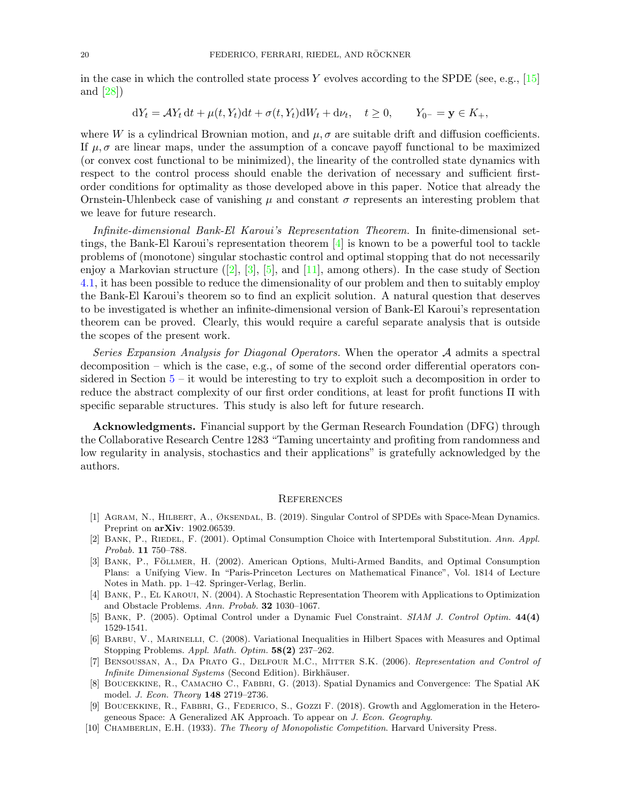in the case in which the controlled state process Y evolves according to the SPDE (see, e.g., [\[15\]](#page-20-7) and [\[28\]](#page-20-6))

$$
dY_t = \mathcal{A}Y_t dt + \mu(t, Y_t)dt + \sigma(t, Y_t)dW_t + d\nu_t, \quad t \ge 0, \qquad Y_{0^-} = \mathbf{y} \in K_+,
$$

where W is a cylindrical Brownian motion, and  $\mu, \sigma$  are suitable drift and diffusion coefficients. If  $\mu$ ,  $\sigma$  are linear maps, under the assumption of a concave payoff functional to be maximized (or convex cost functional to be minimized), the linearity of the controlled state dynamics with respect to the control process should enable the derivation of necessary and sufficient firstorder conditions for optimality as those developed above in this paper. Notice that already the Ornstein-Uhlenbeck case of vanishing  $\mu$  and constant  $\sigma$  represents an interesting problem that we leave for future research.

Infinite-dimensional Bank-El Karoui's Representation Theorem. In finite-dimensional settings, the Bank-El Karoui's representation theorem [\[4\]](#page-19-6) is known to be a powerful tool to tackle problems of (monotone) singular stochastic control and optimal stopping that do not necessarily enjoy a Markovian structure  $(2, 3, 5, 5)$ , and [\[11\]](#page-20-21), among others). In the case study of Section [4.1,](#page-12-0) it has been possible to reduce the dimensionality of our problem and then to suitably employ the Bank-El Karoui's theorem so to find an explicit solution. A natural question that deserves to be investigated is whether an infinite-dimensional version of Bank-El Karoui's representation theorem can be proved. Clearly, this would require a careful separate analysis that is outside the scopes of the present work.

Series Expansion Analysis for Diagonal Operators. When the operator A admits a spectral decomposition – which is the case, e.g., of some of the second order differential operators considered in Section  $5 - it$  $5 - it$  would be interesting to try to exploit such a decomposition in order to reduce the abstract complexity of our first order conditions, at least for profit functions Π with specific separable structures. This study is also left for future research.

Acknowledgments. Financial support by the German Research Foundation (DFG) through the Collaborative Research Centre 1283 "Taming uncertainty and profiting from randomness and low regularity in analysis, stochastics and their applications" is gratefully acknowledged by the authors.

#### **REFERENCES**

- <span id="page-19-1"></span>[1] Agram, N., Hilbert, A., Øksendal, B. (2019). Singular Control of SPDEs with Space-Mean Dynamics. Preprint on arXiv: 1902.06539.
- <span id="page-19-3"></span>[2] BANK, P., RIEDEL, F. (2001). Optimal Consumption Choice with Intertemporal Substitution. Ann. Appl. Probab. 11 750–788.
- <span id="page-19-9"></span>[3] BANK, P., FÖLLMER, H. (2002). American Options, Multi-Armed Bandits, and Optimal Consumption Plans: a Unifying View. In "Paris-Princeton Lectures on Mathematical Finance", Vol. 1814 of Lecture Notes in Math. pp. 1–42. Springer-Verlag, Berlin.
- <span id="page-19-6"></span>[4] Bank, P., El Karoui, N. (2004). A Stochastic Representation Theorem with Applications to Optimization and Obstacle Problems. Ann. Probab. 32 1030–1067.
- <span id="page-19-4"></span>[5] Bank, P. (2005). Optimal Control under a Dynamic Fuel Constraint. SIAM J. Control Optim. 44(4) 1529-1541.
- <span id="page-19-0"></span>[6] Barbu, V., Marinelli, C. (2008). Variational Inequalities in Hilbert Spaces with Measures and Optimal Stopping Problems. Appl. Math. Optim. 58(2) 237–262.
- <span id="page-19-2"></span>[7] Bensoussan, A., Da Prato G., Delfour M.C., Mitter S.K. (2006). Representation and Control of Infinite Dimensional Systems (Second Edition). Birkhäuser.
- <span id="page-19-7"></span>[8] BOUCEKKINE, R., CAMACHO C., FABBRI, G. (2013). Spatial Dynamics and Convergence: The Spatial AK model. *J. Econ. Theory* **148** 2719–2736.
- <span id="page-19-8"></span>[9] Boucekkine, R., Fabbri, G., Federico, S., Gozzi F. (2018). Growth and Agglomeration in the Heterogeneous Space: A Generalized AK Approach. To appear on J. Econ. Geography.
- <span id="page-19-5"></span>[10] CHAMBERLIN, E.H. (1933). The Theory of Monopolistic Competition. Harvard University Press.